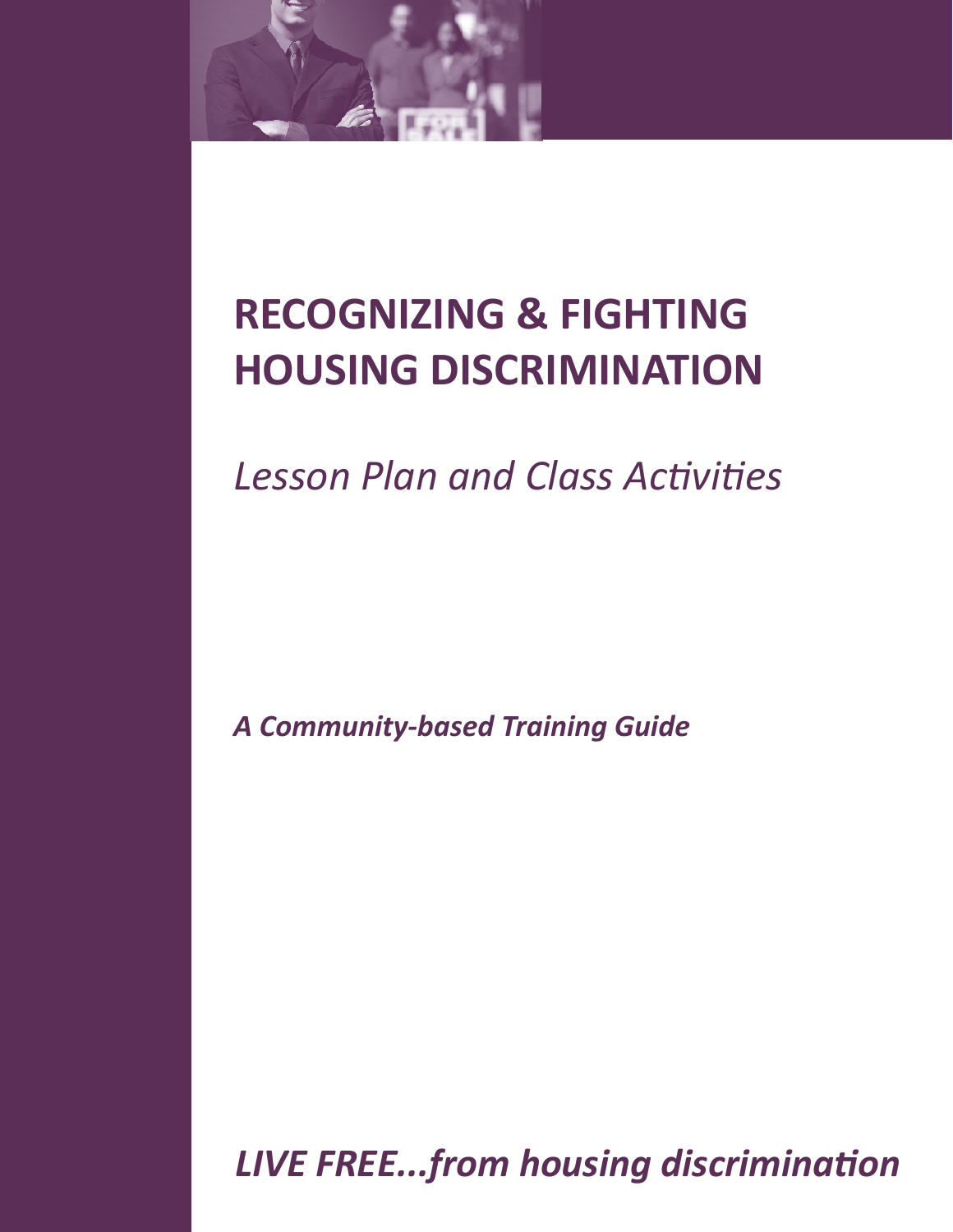

# **RECOGNIZING & FIGHTING HOUSING DISCRIMINATION**

*Lesson Plan and Class Activities*

*A Community-based Training Guide*

*LIVE FREE...from housing discrimination*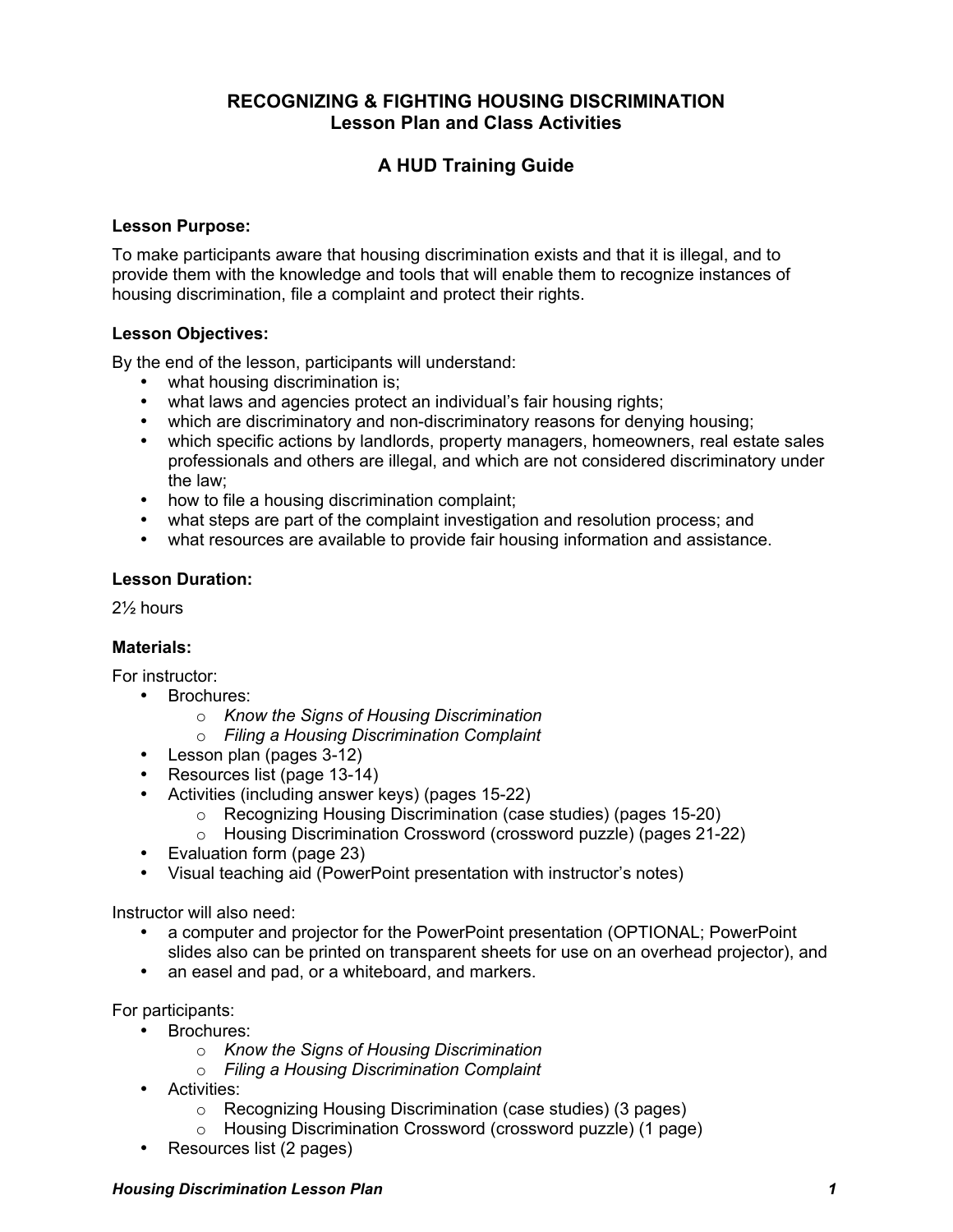# **RECOGNIZING & FIGHTING HOUSING DISCRIMINATION Lesson Plan and Class Activities**

# **A HUD Training Guide**

## **Lesson Purpose:**

To make participants aware that housing discrimination exists and that it is illegal, and to provide them with the knowledge and tools that will enable them to recognize instances of housing discrimination, file a complaint and protect their rights.

## **Lesson Objectives:**

By the end of the lesson, participants will understand:

- what housing discrimination is;
- what laws and agencies protect an individual's fair housing rights;
- which are discriminatory and non-discriminatory reasons for denying housing;
- which specific actions by landlords, property managers, homeowners, real estate sales professionals and others are illegal, and which are not considered discriminatory under the law;
- how to file a housing discrimination complaint;
- what steps are part of the complaint investigation and resolution process; and
- what resources are available to provide fair housing information and assistance.

## **Lesson Duration:**

2½ hours

# **Materials:**

For instructor:

- Brochures:
	- o *Know the Signs of Housing Discrimination*
	- o *Filing a Housing Discrimination Complaint*
- Lesson plan (pages 3-12)
- Resources list (page 13-14)
- Activities (including answer keys) (pages 15-22)
	- o Recognizing Housing Discrimination (case studies) (pages 15-20)
	- o Housing Discrimination Crossword (crossword puzzle) (pages 21-22)
- Evaluation form (page 23)
- Visual teaching aid (PowerPoint presentation with instructor's notes)

Instructor will also need:

- a computer and projector for the PowerPoint presentation (OPTIONAL; PowerPoint slides also can be printed on transparent sheets for use on an overhead projector), and
- an easel and pad, or a whiteboard, and markers.

For participants:

- Brochures:
	- o *Know the Signs of Housing Discrimination*
	- o *Filing a Housing Discrimination Complaint*
- Activities:
	- o Recognizing Housing Discrimination (case studies) (3 pages)
	- o Housing Discrimination Crossword (crossword puzzle) (1 page)
- Resources list (2 pages)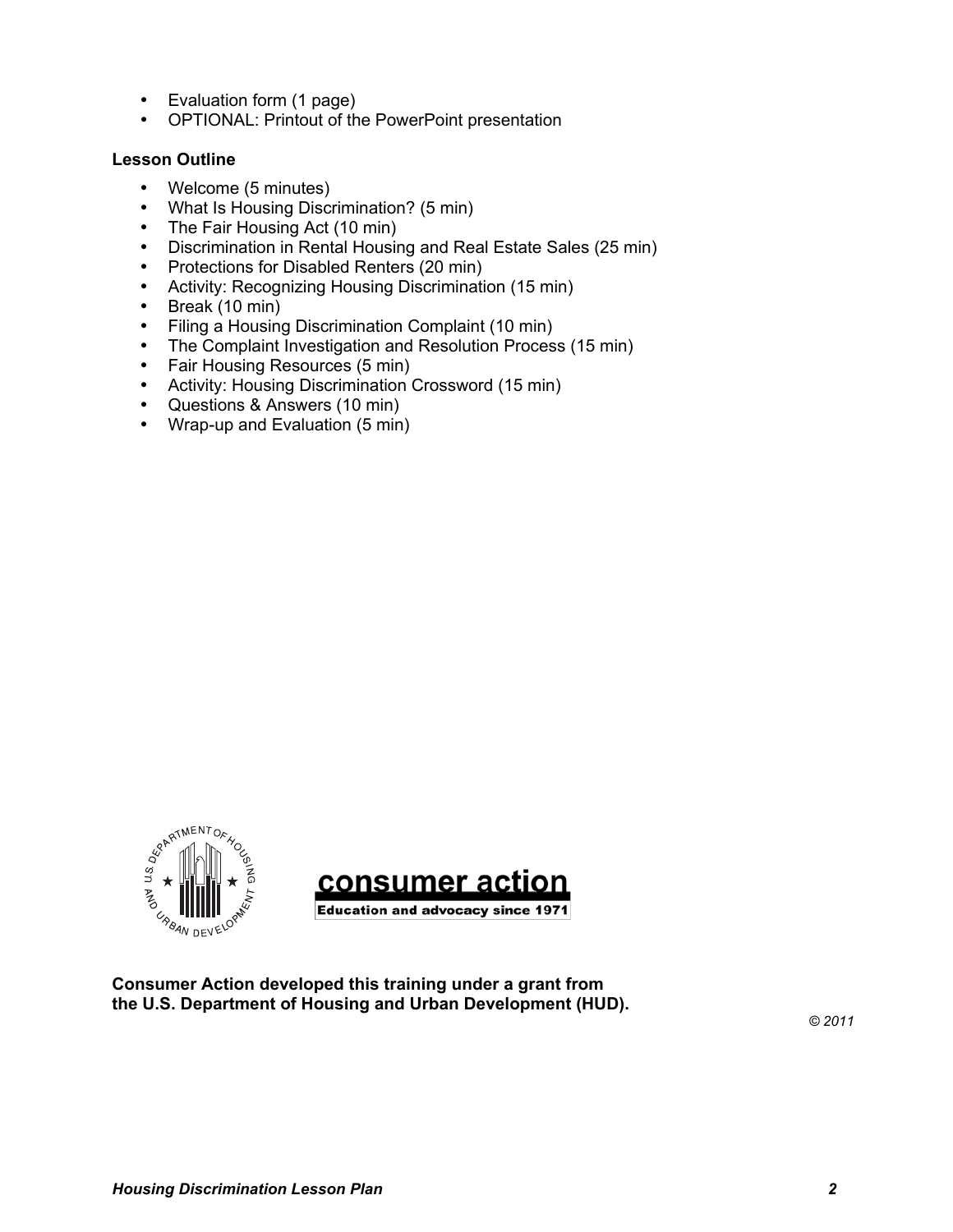- Evaluation form (1 page)
- OPTIONAL: Printout of the PowerPoint presentation

# **Lesson Outline**

- Welcome (5 minutes)
- What Is Housing Discrimination? (5 min)
- The Fair Housing Act (10 min)
- Discrimination in Rental Housing and Real Estate Sales (25 min)
- Protections for Disabled Renters (20 min)
- Activity: Recognizing Housing Discrimination (15 min)<br>• Break (10 min)
- Break (10 min)
- Filing a Housing Discrimination Complaint (10 min)
- The Complaint Investigation and Resolution Process (15 min)
- Fair Housing Resources (5 min)
- Activity: Housing Discrimination Crossword (15 min)
- Questions & Answers (10 min)
- Wrap-up and Evaluation (5 min)





**Consumer Action developed this training under a grant from the U.S. Department of Housing and Urban Development (HUD).** 

*© 2011*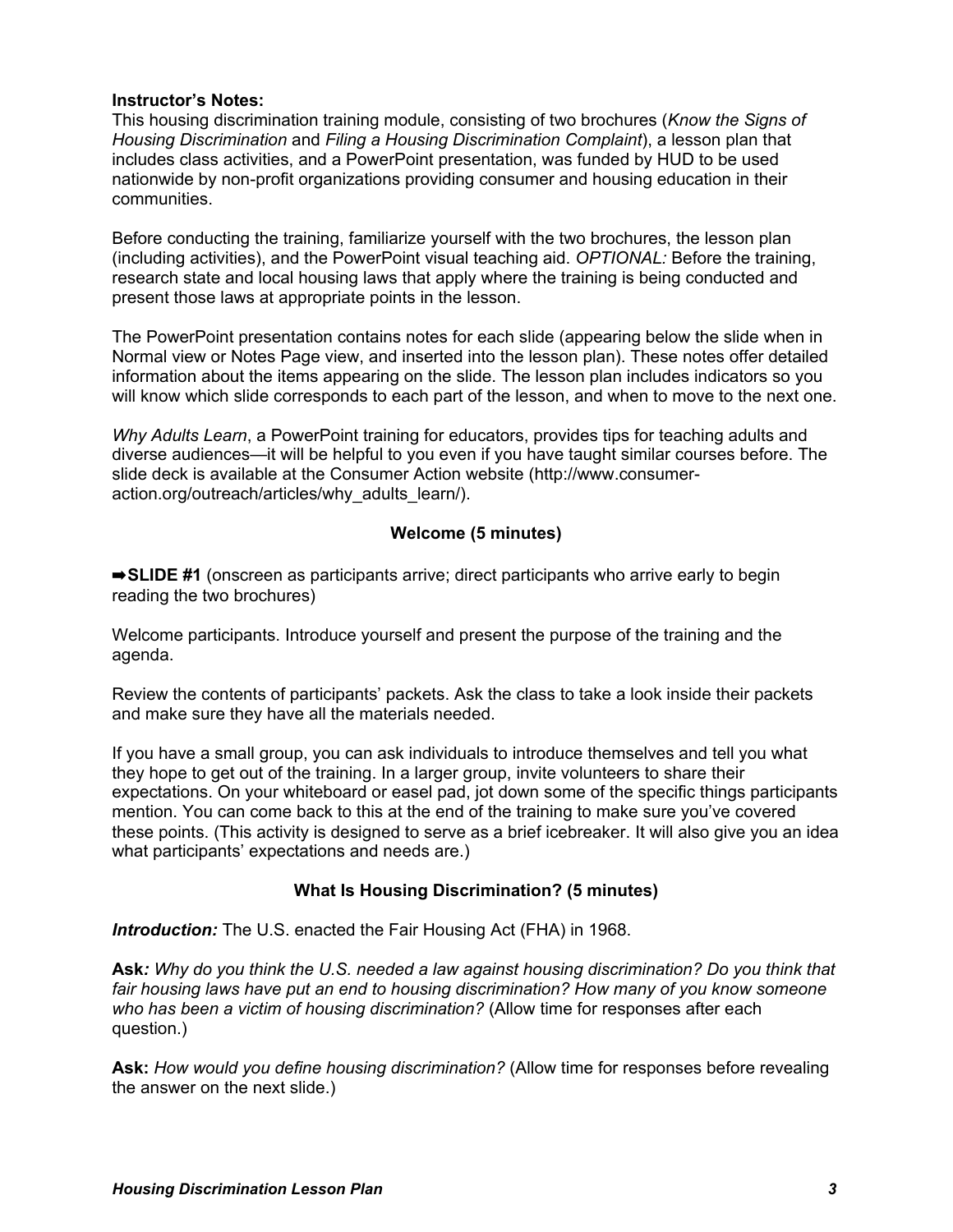## **Instructor's Notes:**

This housing discrimination training module, consisting of two brochures (*Know the Signs of Housing Discrimination* and *Filing a Housing Discrimination Complaint*), a lesson plan that includes class activities, and a PowerPoint presentation, was funded by HUD to be used nationwide by non-profit organizations providing consumer and housing education in their communities.

Before conducting the training, familiarize yourself with the two brochures, the lesson plan (including activities), and the PowerPoint visual teaching aid. *OPTIONAL:* Before the training, research state and local housing laws that apply where the training is being conducted and present those laws at appropriate points in the lesson.

The PowerPoint presentation contains notes for each slide (appearing below the slide when in Normal view or Notes Page view, and inserted into the lesson plan). These notes offer detailed information about the items appearing on the slide. The lesson plan includes indicators so you will know which slide corresponds to each part of the lesson, and when to move to the next one.

*Why Adults Learn*, a PowerPoint training for educators, provides tips for teaching adults and diverse audiences—it will be helpful to you even if you have taught similar courses before. The slide deck is available at the Consumer Action website (http://www.consumeraction.org/outreach/articles/why\_adults\_learn/).

# **Welcome (5 minutes)**

➡**SLIDE #1** (onscreen as participants arrive; direct participants who arrive early to begin reading the two brochures)

Welcome participants. Introduce yourself and present the purpose of the training and the agenda.

Review the contents of participants' packets. Ask the class to take a look inside their packets and make sure they have all the materials needed.

If you have a small group, you can ask individuals to introduce themselves and tell you what they hope to get out of the training. In a larger group, invite volunteers to share their expectations. On your whiteboard or easel pad, jot down some of the specific things participants mention. You can come back to this at the end of the training to make sure you've covered these points. (This activity is designed to serve as a brief icebreaker. It will also give you an idea what participants' expectations and needs are.)

# **What Is Housing Discrimination? (5 minutes)**

**Introduction:** The U.S. enacted the Fair Housing Act (FHA) in 1968.

**Ask***: Why do you think the U.S. needed a law against housing discrimination? Do you think that fair housing laws have put an end to housing discrimination? How many of you know someone who has been a victim of housing discrimination?* (Allow time for responses after each question.)

**Ask:** *How would you define housing discrimination?* (Allow time for responses before revealing the answer on the next slide.)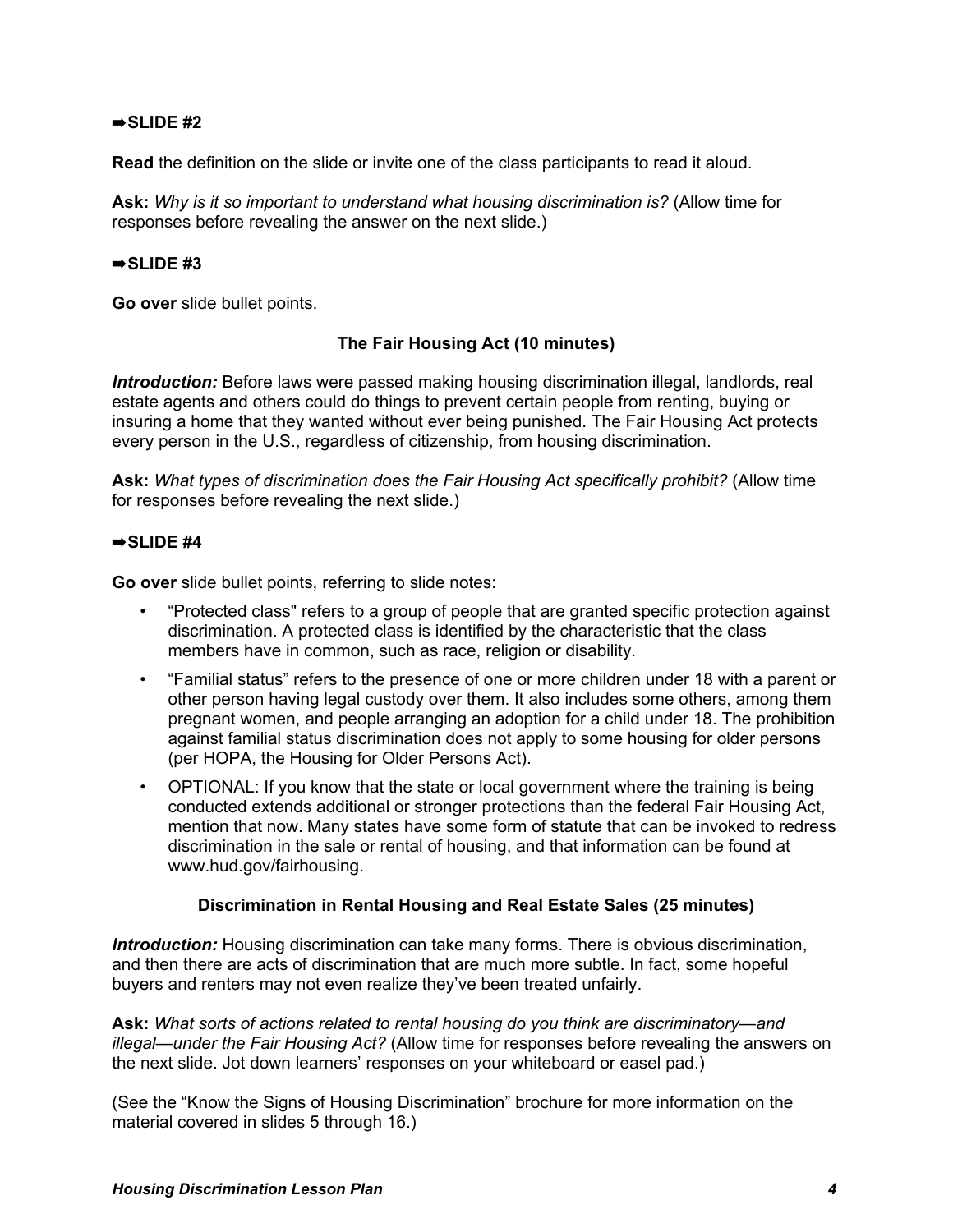## $\Rightarrow$ SLIDE #2

**Read** the definition on the slide or invite one of the class participants to read it aloud.

**Ask:** *Why is it so important to understand what housing discrimination is?* (Allow time for responses before revealing the answer on the next slide.)

#### $\Rightarrow$ SLIDE #3

**Go over** slide bullet points.

## **The Fair Housing Act (10 minutes)**

*Introduction:* Before laws were passed making housing discrimination illegal, landlords, real estate agents and others could do things to prevent certain people from renting, buying or insuring a home that they wanted without ever being punished. The Fair Housing Act protects every person in the U.S., regardless of citizenship, from housing discrimination.

**Ask:** *What types of discrimination does the Fair Housing Act specifically prohibit?* (Allow time for responses before revealing the next slide.)

## $\Rightarrow$ SLIDE #4

**Go over** slide bullet points, referring to slide notes:

- "Protected class" refers to a group of people that are granted specific protection against discrimination. A protected class is identified by the characteristic that the class members have in common, such as race, religion or disability.
- "Familial status" refers to the presence of one or more children under 18 with a parent or other person having legal custody over them. It also includes some others, among them pregnant women, and people arranging an adoption for a child under 18. The prohibition against familial status discrimination does not apply to some housing for older persons (per HOPA, the Housing for Older Persons Act).
- OPTIONAL: If you know that the state or local government where the training is being conducted extends additional or stronger protections than the federal Fair Housing Act, mention that now. Many states have some form of statute that can be invoked to redress discrimination in the sale or rental of housing, and that information can be found at www.hud.gov/fairhousing.

## **Discrimination in Rental Housing and Real Estate Sales (25 minutes)**

*Introduction:* Housing discrimination can take many forms. There is obvious discrimination, and then there are acts of discrimination that are much more subtle. In fact, some hopeful buyers and renters may not even realize they've been treated unfairly.

**Ask:** *What sorts of actions related to rental housing do you think are discriminatory—and illegal—under the Fair Housing Act?* (Allow time for responses before revealing the answers on the next slide. Jot down learners' responses on your whiteboard or easel pad.)

(See the "Know the Signs of Housing Discrimination" brochure for more information on the material covered in slides 5 through 16.)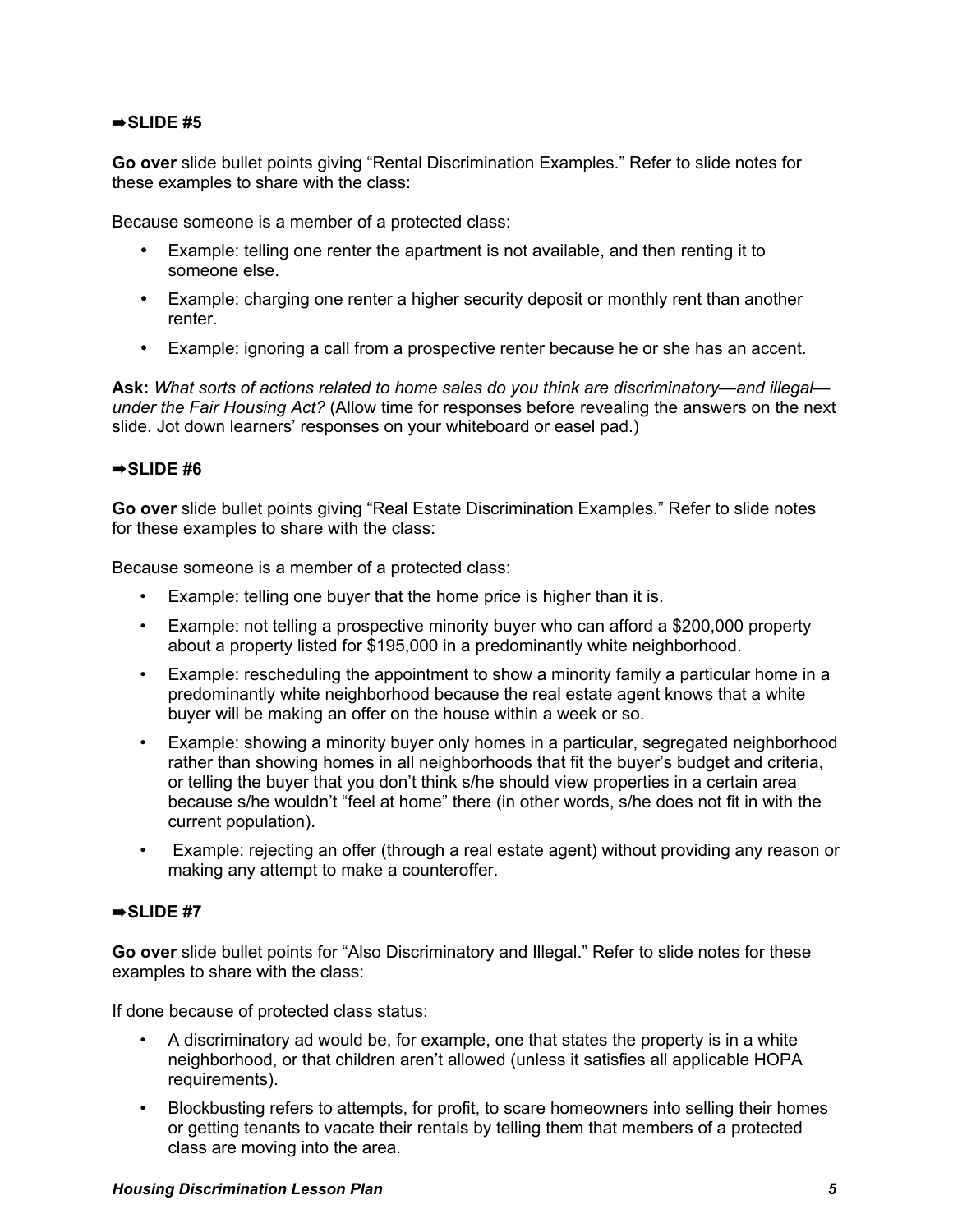## $\Rightarrow$ SLIDE #5

**Go over** slide bullet points giving "Rental Discrimination Examples." Refer to slide notes for these examples to share with the class:

Because someone is a member of a protected class:

- Example: telling one renter the apartment is not available, and then renting it to someone else.
- Example: charging one renter a higher security deposit or monthly rent than another renter.
- Example: ignoring a call from a prospective renter because he or she has an accent.

**Ask:** *What sorts of actions related to home sales do you think are discriminatory—and illegal under the Fair Housing Act?* (Allow time for responses before revealing the answers on the next slide. Jot down learners' responses on your whiteboard or easel pad.)

## $\Rightarrow$ SLIDE #6

**Go over** slide bullet points giving "Real Estate Discrimination Examples." Refer to slide notes for these examples to share with the class:

Because someone is a member of a protected class:

- Example: telling one buyer that the home price is higher than it is.
- Example: not telling a prospective minority buyer who can afford a \$200,000 property about a property listed for \$195,000 in a predominantly white neighborhood.
- Example: rescheduling the appointment to show a minority family a particular home in a predominantly white neighborhood because the real estate agent knows that a white buyer will be making an offer on the house within a week or so.
- Example: showing a minority buyer only homes in a particular, segregated neighborhood rather than showing homes in all neighborhoods that fit the buyer's budget and criteria, or telling the buyer that you don't think s/he should view properties in a certain area because s/he wouldn't "feel at home" there (in other words, s/he does not fit in with the current population).
- Example: rejecting an offer (through a real estate agent) without providing any reason or making any attempt to make a counteroffer.

## ➡**SLIDE #7**

**Go over** slide bullet points for "Also Discriminatory and Illegal." Refer to slide notes for these examples to share with the class:

If done because of protected class status:

- A discriminatory ad would be, for example, one that states the property is in a white neighborhood, or that children aren't allowed (unless it satisfies all applicable HOPA requirements).
- Blockbusting refers to attempts, for profit, to scare homeowners into selling their homes or getting tenants to vacate their rentals by telling them that members of a protected class are moving into the area.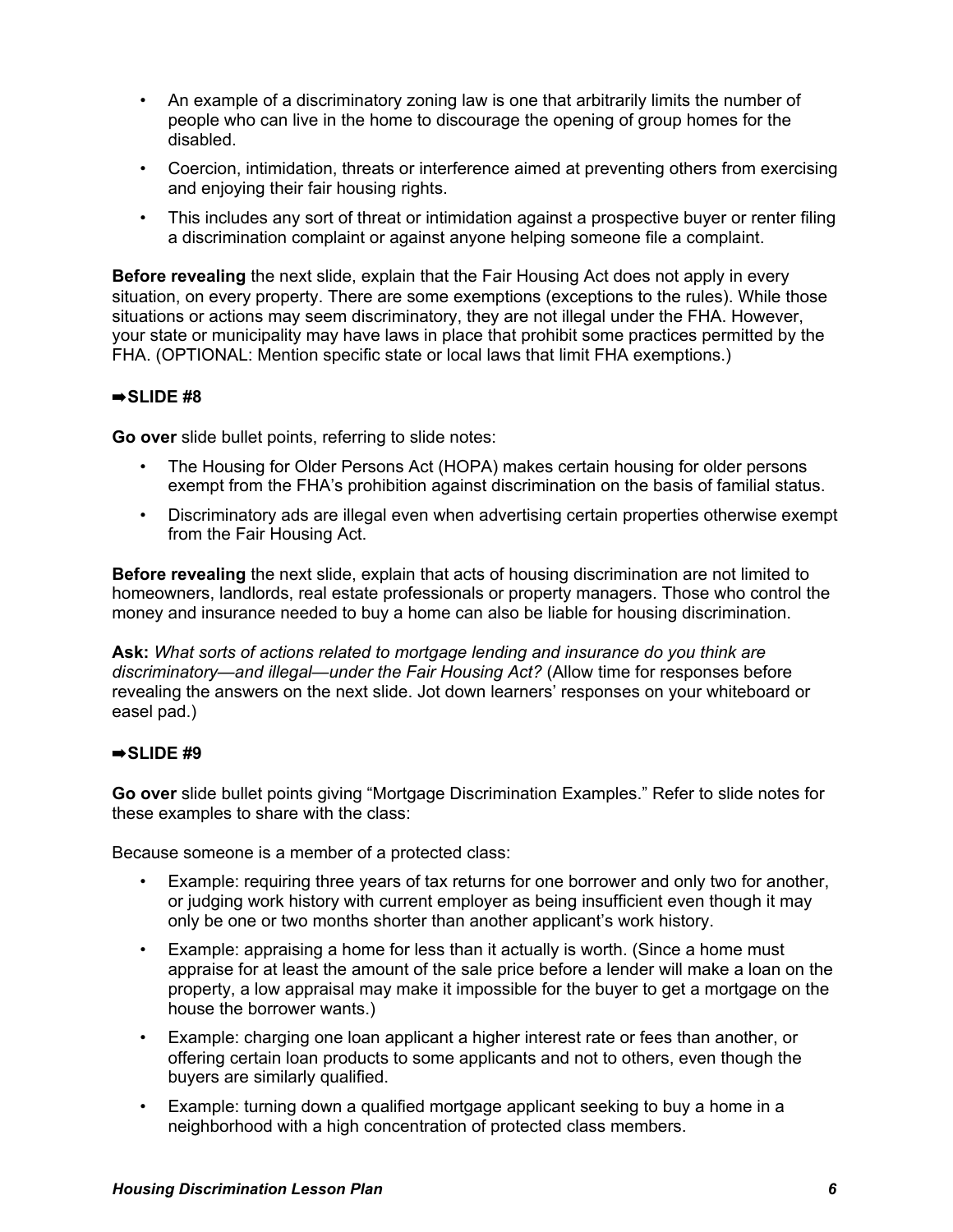- An example of a discriminatory zoning law is one that arbitrarily limits the number of people who can live in the home to discourage the opening of group homes for the disabled.
- Coercion, intimidation, threats or interference aimed at preventing others from exercising and enjoying their fair housing rights.
- This includes any sort of threat or intimidation against a prospective buyer or renter filing a discrimination complaint or against anyone helping someone file a complaint.

**Before revealing** the next slide, explain that the Fair Housing Act does not apply in every situation, on every property. There are some exemptions (exceptions to the rules). While those situations or actions may seem discriminatory, they are not illegal under the FHA. However, your state or municipality may have laws in place that prohibit some practices permitted by the FHA. (OPTIONAL: Mention specific state or local laws that limit FHA exemptions.)

# $\Rightarrow$ SLIDE #8

**Go over** slide bullet points, referring to slide notes:

- The Housing for Older Persons Act (HOPA) makes certain housing for older persons exempt from the FHA's prohibition against discrimination on the basis of familial status.
- Discriminatory ads are illegal even when advertising certain properties otherwise exempt from the Fair Housing Act.

**Before revealing** the next slide, explain that acts of housing discrimination are not limited to homeowners, landlords, real estate professionals or property managers. Those who control the money and insurance needed to buy a home can also be liable for housing discrimination.

**Ask:** *What sorts of actions related to mortgage lending and insurance do you think are discriminatory—and illegal—under the Fair Housing Act?* (Allow time for responses before revealing the answers on the next slide. Jot down learners' responses on your whiteboard or easel pad.)

## $\Rightarrow$ SLIDE #9

**Go over** slide bullet points giving "Mortgage Discrimination Examples." Refer to slide notes for these examples to share with the class:

Because someone is a member of a protected class:

- Example: requiring three years of tax returns for one borrower and only two for another, or judging work history with current employer as being insufficient even though it may only be one or two months shorter than another applicant's work history.
- Example: appraising a home for less than it actually is worth. (Since a home must appraise for at least the amount of the sale price before a lender will make a loan on the property, a low appraisal may make it impossible for the buyer to get a mortgage on the house the borrower wants.)
- Example: charging one loan applicant a higher interest rate or fees than another, or offering certain loan products to some applicants and not to others, even though the buyers are similarly qualified.
- Example: turning down a qualified mortgage applicant seeking to buy a home in a neighborhood with a high concentration of protected class members.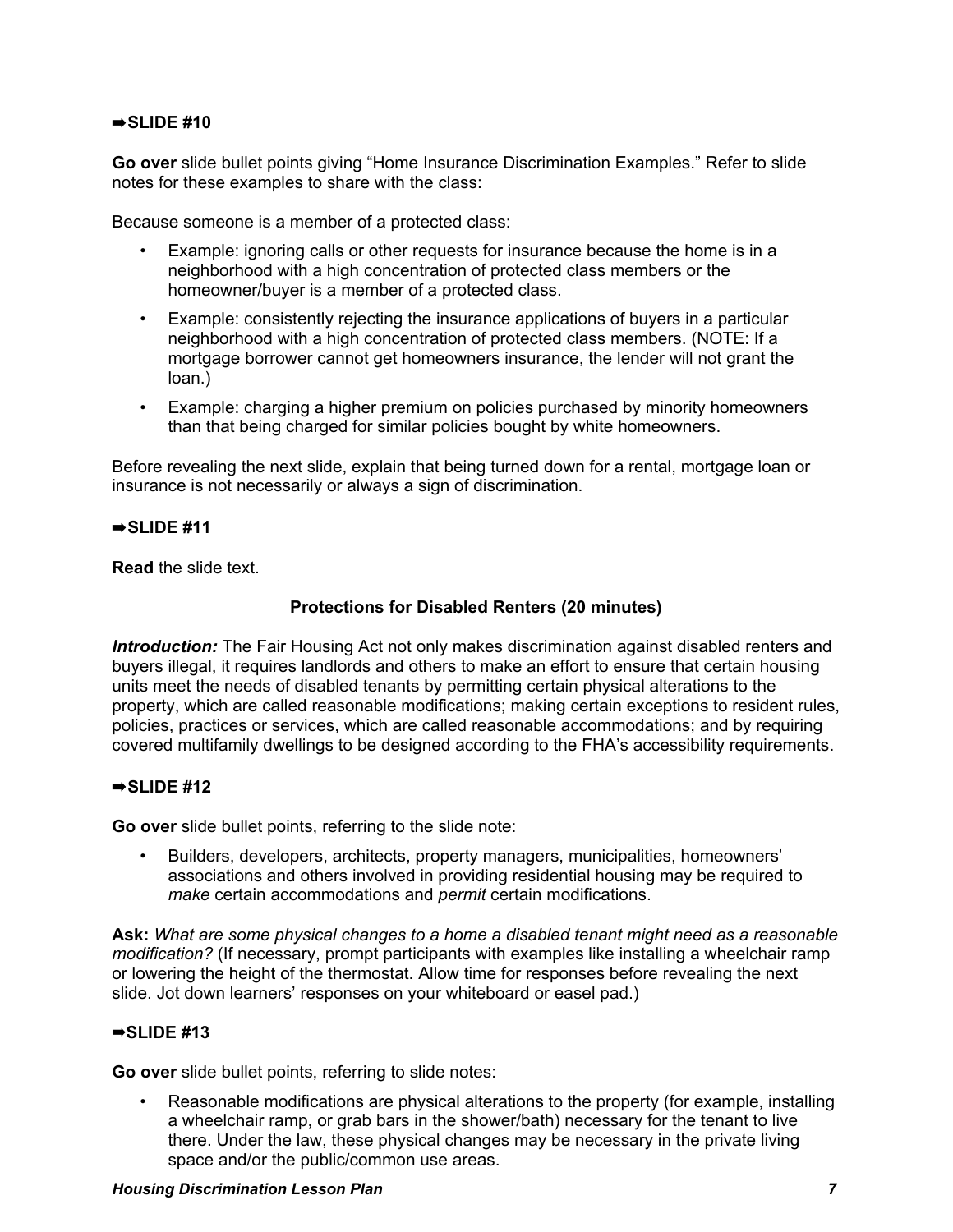## ➡**SLIDE #10**

**Go over** slide bullet points giving "Home Insurance Discrimination Examples." Refer to slide notes for these examples to share with the class:

Because someone is a member of a protected class:

- Example: ignoring calls or other requests for insurance because the home is in a neighborhood with a high concentration of protected class members or the homeowner/buyer is a member of a protected class.
- Example: consistently rejecting the insurance applications of buyers in a particular neighborhood with a high concentration of protected class members. (NOTE: If a mortgage borrower cannot get homeowners insurance, the lender will not grant the loan.)
- Example: charging a higher premium on policies purchased by minority homeowners than that being charged for similar policies bought by white homeowners.

Before revealing the next slide, explain that being turned down for a rental, mortgage loan or insurance is not necessarily or always a sign of discrimination.

## ➡**SLIDE #11**

**Read** the slide text.

# **Protections for Disabled Renters (20 minutes)**

*Introduction:* The Fair Housing Act not only makes discrimination against disabled renters and buyers illegal, it requires landlords and others to make an effort to ensure that certain housing units meet the needs of disabled tenants by permitting certain physical alterations to the property, which are called reasonable modifications; making certain exceptions to resident rules, policies, practices or services, which are called reasonable accommodations; and by requiring covered multifamily dwellings to be designed according to the FHA's accessibility requirements.

# ➡**SLIDE #12**

**Go over** slide bullet points, referring to the slide note:

• Builders, developers, architects, property managers, municipalities, homeowners' associations and others involved in providing residential housing may be required to *make* certain accommodations and *permit* certain modifications.

**Ask:** *What are some physical changes to a home a disabled tenant might need as a reasonable modification?* (If necessary, prompt participants with examples like installing a wheelchair ramp or lowering the height of the thermostat. Allow time for responses before revealing the next slide. Jot down learners' responses on your whiteboard or easel pad.)

## ➡**SLIDE #13**

**Go over** slide bullet points, referring to slide notes:

• Reasonable modifications are physical alterations to the property (for example, installing a wheelchair ramp, or grab bars in the shower/bath) necessary for the tenant to live there. Under the law, these physical changes may be necessary in the private living space and/or the public/common use areas.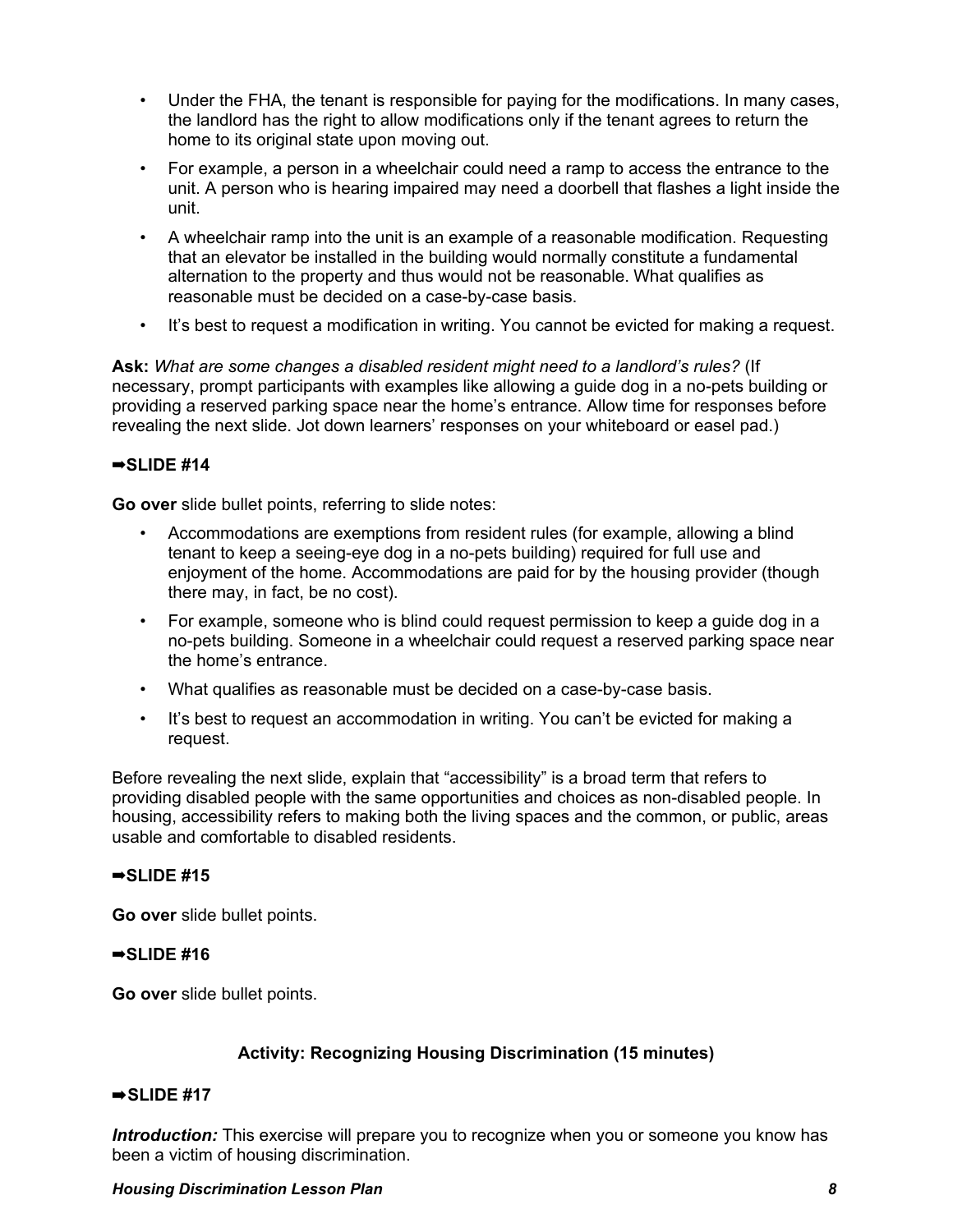- Under the FHA, the tenant is responsible for paying for the modifications. In many cases, the landlord has the right to allow modifications only if the tenant agrees to return the home to its original state upon moving out.
- For example, a person in a wheelchair could need a ramp to access the entrance to the unit. A person who is hearing impaired may need a doorbell that flashes a light inside the unit.
- A wheelchair ramp into the unit is an example of a reasonable modification. Requesting that an elevator be installed in the building would normally constitute a fundamental alternation to the property and thus would not be reasonable. What qualifies as reasonable must be decided on a case-by-case basis.
- It's best to request a modification in writing. You cannot be evicted for making a request.

**Ask:** *What are some changes a disabled resident might need to a landlord's rules?* (If necessary, prompt participants with examples like allowing a guide dog in a no-pets building or providing a reserved parking space near the home's entrance. Allow time for responses before revealing the next slide. Jot down learners' responses on your whiteboard or easel pad.)

## ➡**SLIDE #14**

**Go over** slide bullet points, referring to slide notes:

- Accommodations are exemptions from resident rules (for example, allowing a blind tenant to keep a seeing-eye dog in a no-pets building) required for full use and enjoyment of the home. Accommodations are paid for by the housing provider (though there may, in fact, be no cost).
- For example, someone who is blind could request permission to keep a guide dog in a no-pets building. Someone in a wheelchair could request a reserved parking space near the home's entrance.
- What qualifies as reasonable must be decided on a case-by-case basis.
- It's best to request an accommodation in writing. You can't be evicted for making a request.

Before revealing the next slide, explain that "accessibility" is a broad term that refers to providing disabled people with the same opportunities and choices as non-disabled people. In housing, accessibility refers to making both the living spaces and the common, or public, areas usable and comfortable to disabled residents.

## ➡**SLIDE #15**

**Go over** slide bullet points.

## ➡**SLIDE #16**

**Go over** slide bullet points.

## **Activity: Recognizing Housing Discrimination (15 minutes)**

## ➡**SLIDE #17**

*Introduction:* This exercise will prepare you to recognize when you or someone you know has been a victim of housing discrimination.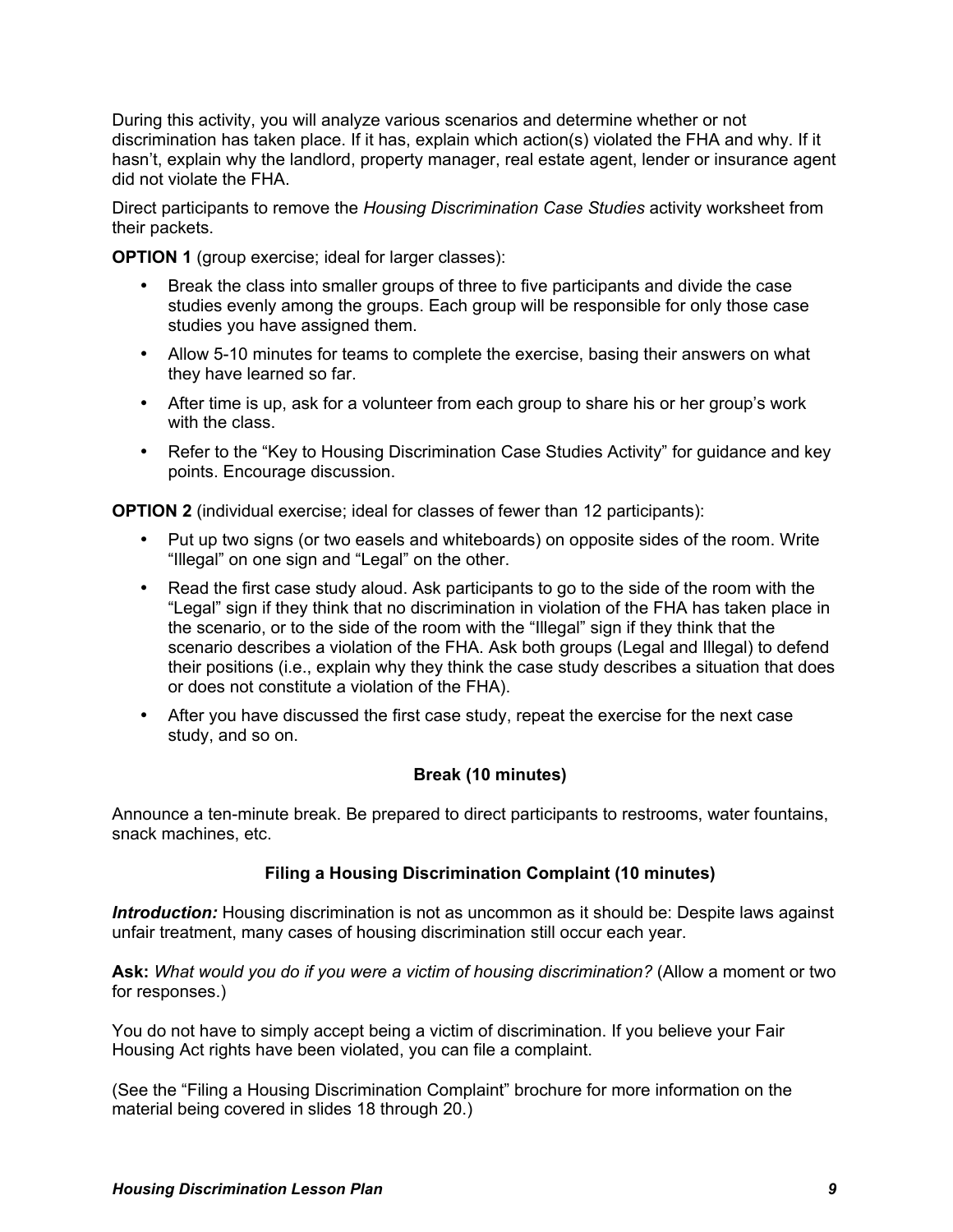During this activity, you will analyze various scenarios and determine whether or not discrimination has taken place. If it has, explain which action(s) violated the FHA and why. If it hasn't, explain why the landlord, property manager, real estate agent, lender or insurance agent did not violate the FHA.

Direct participants to remove the *Housing Discrimination Case Studies* activity worksheet from their packets.

**OPTION 1** (group exercise; ideal for larger classes):

- Break the class into smaller groups of three to five participants and divide the case studies evenly among the groups. Each group will be responsible for only those case studies you have assigned them.
- Allow 5-10 minutes for teams to complete the exercise, basing their answers on what they have learned so far.
- After time is up, ask for a volunteer from each group to share his or her group's work with the class.
- Refer to the "Key to Housing Discrimination Case Studies Activity" for quidance and key points. Encourage discussion.

**OPTION 2** (individual exercise; ideal for classes of fewer than 12 participants):

- Put up two signs (or two easels and whiteboards) on opposite sides of the room. Write "Illegal" on one sign and "Legal" on the other.
- Read the first case study aloud. Ask participants to go to the side of the room with the "Legal" sign if they think that no discrimination in violation of the FHA has taken place in the scenario, or to the side of the room with the "Illegal" sign if they think that the scenario describes a violation of the FHA. Ask both groups (Legal and Illegal) to defend their positions (i.e., explain why they think the case study describes a situation that does or does not constitute a violation of the FHA).
- After you have discussed the first case study, repeat the exercise for the next case study, and so on.

# **Break (10 minutes)**

Announce a ten-minute break. Be prepared to direct participants to restrooms, water fountains, snack machines, etc.

# **Filing a Housing Discrimination Complaint (10 minutes)**

*Introduction:* Housing discrimination is not as uncommon as it should be: Despite laws against unfair treatment, many cases of housing discrimination still occur each year.

**Ask:** *What would you do if you were a victim of housing discrimination?* (Allow a moment or two for responses.)

You do not have to simply accept being a victim of discrimination. If you believe your Fair Housing Act rights have been violated, you can file a complaint.

(See the "Filing a Housing Discrimination Complaint" brochure for more information on the material being covered in slides 18 through 20.)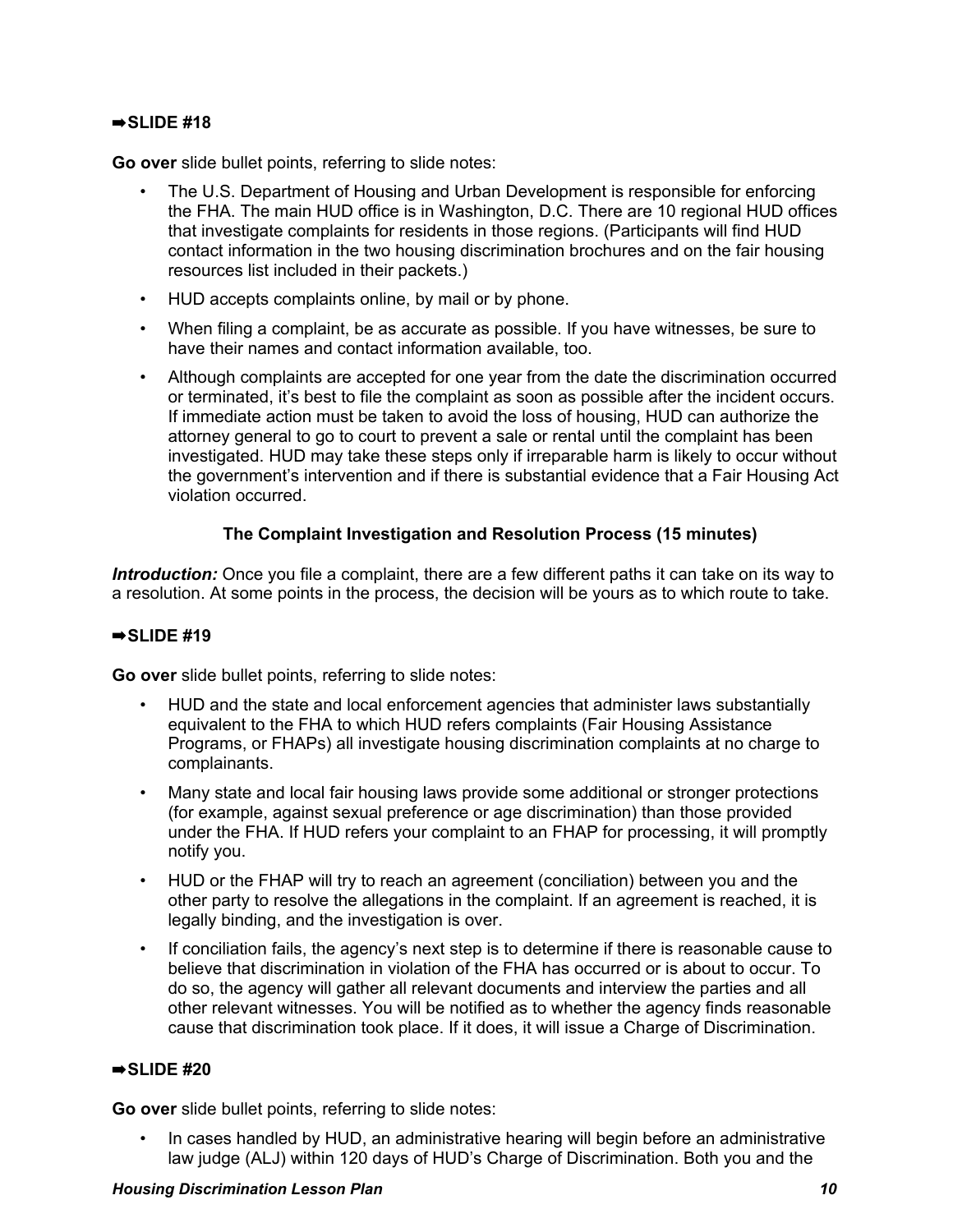# ➡**SLIDE #18**

**Go over** slide bullet points, referring to slide notes:

- The U.S. Department of Housing and Urban Development is responsible for enforcing the FHA. The main HUD office is in Washington, D.C. There are 10 regional HUD offices that investigate complaints for residents in those regions. (Participants will find HUD contact information in the two housing discrimination brochures and on the fair housing resources list included in their packets.)
- HUD accepts complaints online, by mail or by phone.
- When filing a complaint, be as accurate as possible. If you have witnesses, be sure to have their names and contact information available, too.
- Although complaints are accepted for one year from the date the discrimination occurred or terminated, it's best to file the complaint as soon as possible after the incident occurs. If immediate action must be taken to avoid the loss of housing, HUD can authorize the attorney general to go to court to prevent a sale or rental until the complaint has been investigated. HUD may take these steps only if irreparable harm is likely to occur without the government's intervention and if there is substantial evidence that a Fair Housing Act violation occurred.

# **The Complaint Investigation and Resolution Process (15 minutes)**

*Introduction:* Once you file a complaint, there are a few different paths it can take on its way to a resolution. At some points in the process, the decision will be yours as to which route to take.

# ➡**SLIDE #19**

**Go over** slide bullet points, referring to slide notes:

- HUD and the state and local enforcement agencies that administer laws substantially equivalent to the FHA to which HUD refers complaints (Fair Housing Assistance Programs, or FHAPs) all investigate housing discrimination complaints at no charge to complainants.
- Many state and local fair housing laws provide some additional or stronger protections (for example, against sexual preference or age discrimination) than those provided under the FHA. If HUD refers your complaint to an FHAP for processing, it will promptly notify you.
- HUD or the FHAP will try to reach an agreement (conciliation) between you and the other party to resolve the allegations in the complaint. If an agreement is reached, it is legally binding, and the investigation is over.
- If conciliation fails, the agency's next step is to determine if there is reasonable cause to believe that discrimination in violation of the FHA has occurred or is about to occur. To do so, the agency will gather all relevant documents and interview the parties and all other relevant witnesses. You will be notified as to whether the agency finds reasonable cause that discrimination took place. If it does, it will issue a Charge of Discrimination.

# ➡**SLIDE #20**

**Go over** slide bullet points, referring to slide notes:

• In cases handled by HUD, an administrative hearing will begin before an administrative law judge (ALJ) within 120 days of HUD's Charge of Discrimination. Both you and the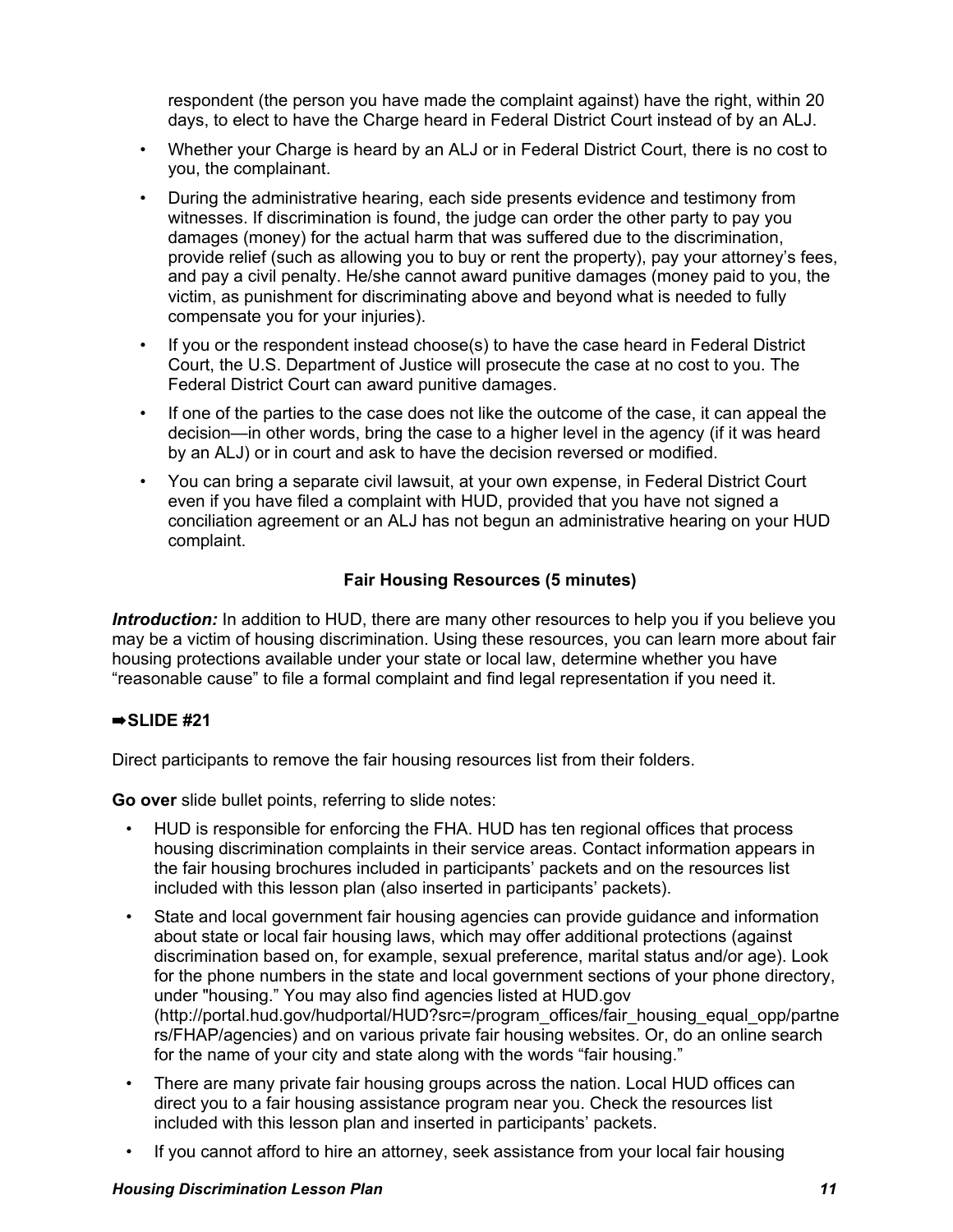respondent (the person you have made the complaint against) have the right, within 20 days, to elect to have the Charge heard in Federal District Court instead of by an ALJ.

- Whether your Charge is heard by an ALJ or in Federal District Court, there is no cost to you, the complainant.
- During the administrative hearing, each side presents evidence and testimony from witnesses. If discrimination is found, the judge can order the other party to pay you damages (money) for the actual harm that was suffered due to the discrimination, provide relief (such as allowing you to buy or rent the property), pay your attorney's fees, and pay a civil penalty. He/she cannot award punitive damages (money paid to you, the victim, as punishment for discriminating above and beyond what is needed to fully compensate you for your injuries).
- If you or the respondent instead choose(s) to have the case heard in Federal District Court, the U.S. Department of Justice will prosecute the case at no cost to you. The Federal District Court can award punitive damages.
- If one of the parties to the case does not like the outcome of the case, it can appeal the decision—in other words, bring the case to a higher level in the agency (if it was heard by an ALJ) or in court and ask to have the decision reversed or modified.
- You can bring a separate civil lawsuit, at your own expense, in Federal District Court even if you have filed a complaint with HUD, provided that you have not signed a conciliation agreement or an ALJ has not begun an administrative hearing on your HUD complaint.

# **Fair Housing Resources (5 minutes)**

*Introduction:* In addition to HUD, there are many other resources to help you if you believe you may be a victim of housing discrimination. Using these resources, you can learn more about fair housing protections available under your state or local law, determine whether you have "reasonable cause" to file a formal complaint and find legal representation if you need it.

# ➡**SLIDE #21**

Direct participants to remove the fair housing resources list from their folders.

**Go over** slide bullet points, referring to slide notes:

- HUD is responsible for enforcing the FHA. HUD has ten regional offices that process housing discrimination complaints in their service areas. Contact information appears in the fair housing brochures included in participants' packets and on the resources list included with this lesson plan (also inserted in participants' packets).
- State and local government fair housing agencies can provide guidance and information about state or local fair housing laws, which may offer additional protections (against discrimination based on, for example, sexual preference, marital status and/or age). Look for the phone numbers in the state and local government sections of your phone directory, under "housing." You may also find agencies listed at HUD.gov (http://portal.hud.gov/hudportal/HUD?src=/program\_offices/fair\_housing\_equal\_opp/partne rs/FHAP/agencies) and on various private fair housing websites. Or, do an online search for the name of your city and state along with the words "fair housing."
- There are many private fair housing groups across the nation. Local HUD offices can direct you to a fair housing assistance program near you. Check the resources list included with this lesson plan and inserted in participants' packets.
- If you cannot afford to hire an attorney, seek assistance from your local fair housing

## *Housing Discrimination Lesson Plan 11*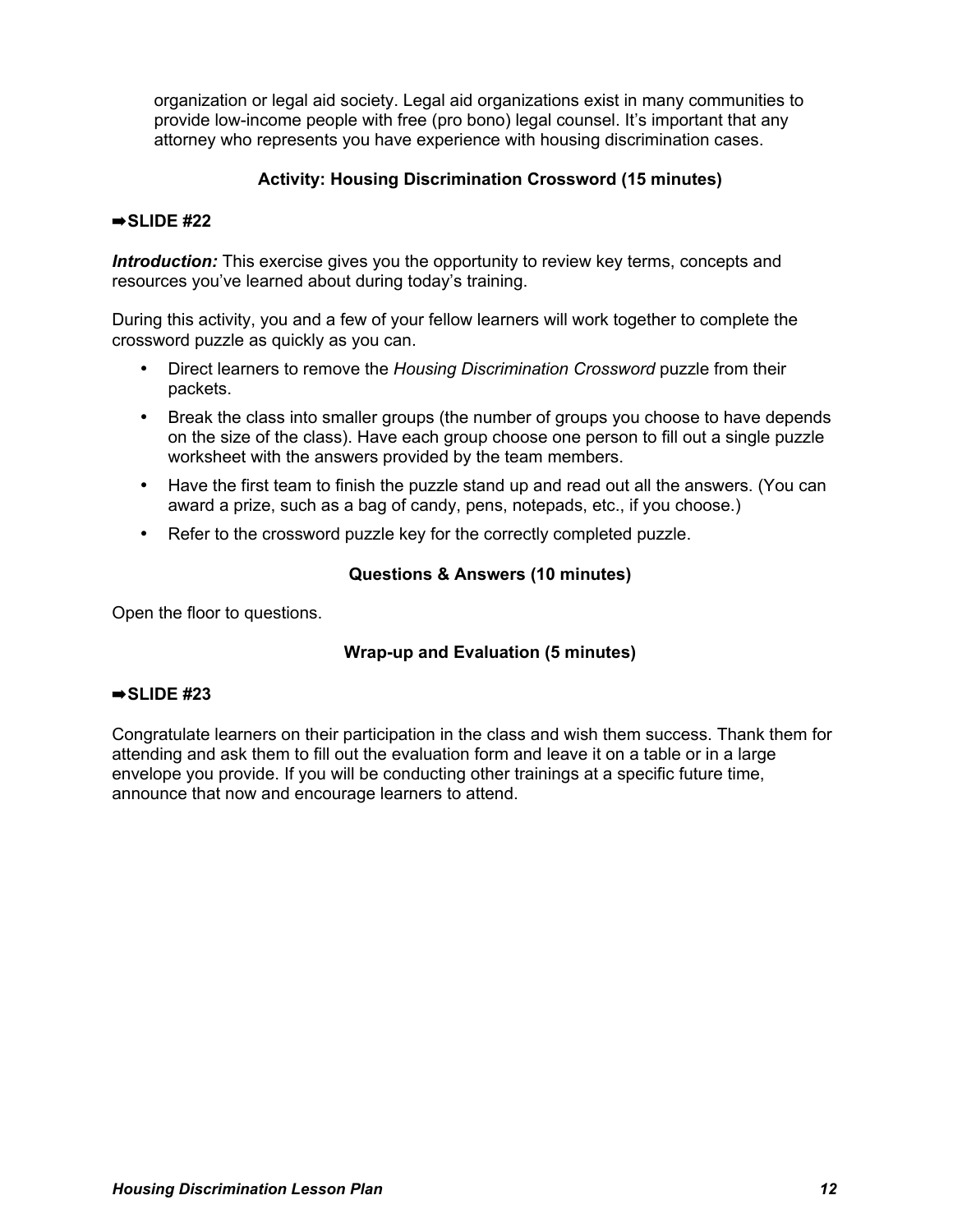organization or legal aid society. Legal aid organizations exist in many communities to provide low-income people with free (pro bono) legal counsel. It's important that any attorney who represents you have experience with housing discrimination cases.

# **Activity: Housing Discrimination Crossword (15 minutes)**

# ➡**SLIDE #22**

*Introduction:* This exercise gives you the opportunity to review key terms, concepts and resources you've learned about during today's training.

During this activity, you and a few of your fellow learners will work together to complete the crossword puzzle as quickly as you can.

- Direct learners to remove the *Housing Discrimination Crossword* puzzle from their packets.
- Break the class into smaller groups (the number of groups you choose to have depends on the size of the class). Have each group choose one person to fill out a single puzzle worksheet with the answers provided by the team members.
- Have the first team to finish the puzzle stand up and read out all the answers. (You can award a prize, such as a bag of candy, pens, notepads, etc., if you choose.)
- Refer to the crossword puzzle key for the correctly completed puzzle.

## **Questions & Answers (10 minutes)**

Open the floor to questions.

# **Wrap-up and Evaluation (5 minutes)**

## ➡**SLIDE #23**

Congratulate learners on their participation in the class and wish them success. Thank them for attending and ask them to fill out the evaluation form and leave it on a table or in a large envelope you provide. If you will be conducting other trainings at a specific future time, announce that now and encourage learners to attend.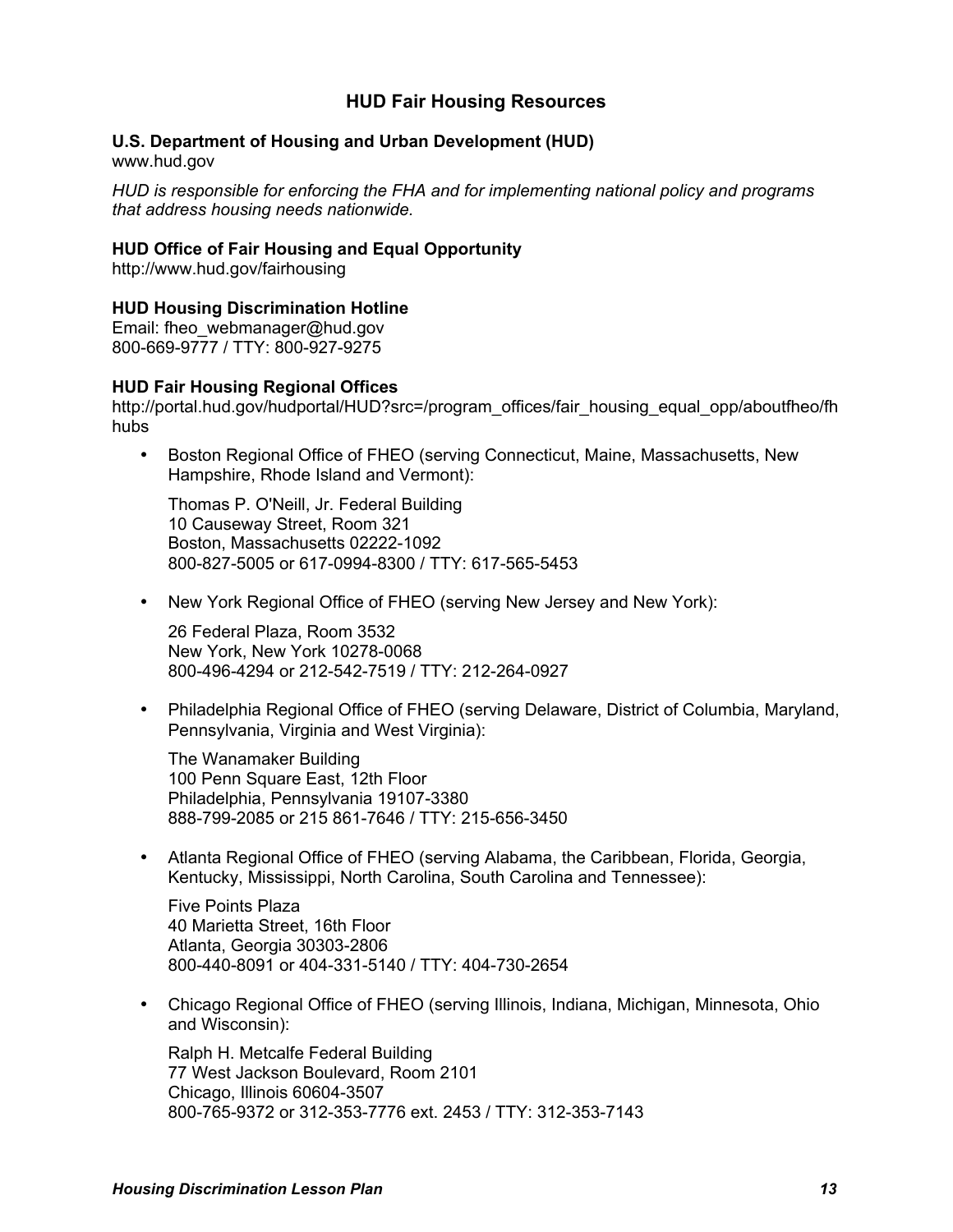# **HUD Fair Housing Resources**

## **U.S. Department of Housing and Urban Development (HUD)**

www.hud.gov

*HUD is responsible for enforcing the FHA and for implementing national policy and programs that address housing needs nationwide.*

## **HUD Office of Fair Housing and Equal Opportunity**

http://www.hud.gov/fairhousing

# **HUD Housing Discrimination Hotline**

Email: fheo\_webmanager@hud.gov 800-669-9777 / TTY: 800-927-9275

## **HUD Fair Housing Regional Offices**

http://portal.hud.gov/hudportal/HUD?src=/program\_offices/fair\_housing\_equal\_opp/aboutfheo/fh hubs

• Boston Regional Office of FHEO (serving Connecticut, Maine, Massachusetts, New Hampshire, Rhode Island and Vermont):

Thomas P. O'Neill, Jr. Federal Building 10 Causeway Street, Room 321 Boston, Massachusetts 02222-1092 800-827-5005 or 617-0994-8300 / TTY: 617-565-5453

• New York Regional Office of FHEO (serving New Jersey and New York):

26 Federal Plaza, Room 3532 New York, New York 10278-0068 800-496-4294 or 212-542-7519 / TTY: 212-264-0927

• Philadelphia Regional Office of FHEO (serving Delaware, District of Columbia, Maryland, Pennsylvania, Virginia and West Virginia):

The Wanamaker Building 100 Penn Square East, 12th Floor Philadelphia, Pennsylvania 19107-3380 888-799-2085 or 215 861-7646 / TTY: 215-656-3450

• Atlanta Regional Office of FHEO (serving Alabama, the Caribbean, Florida, Georgia, Kentucky, Mississippi, North Carolina, South Carolina and Tennessee):

Five Points Plaza 40 Marietta Street, 16th Floor Atlanta, Georgia 30303-2806 800-440-8091 or 404-331-5140 / TTY: 404-730-2654

• Chicago Regional Office of FHEO (serving Illinois, Indiana, Michigan, Minnesota, Ohio and Wisconsin):

Ralph H. Metcalfe Federal Building 77 West Jackson Boulevard, Room 2101 Chicago, Illinois 60604-3507 800-765-9372 or 312-353-7776 ext. 2453 / TTY: 312-353-7143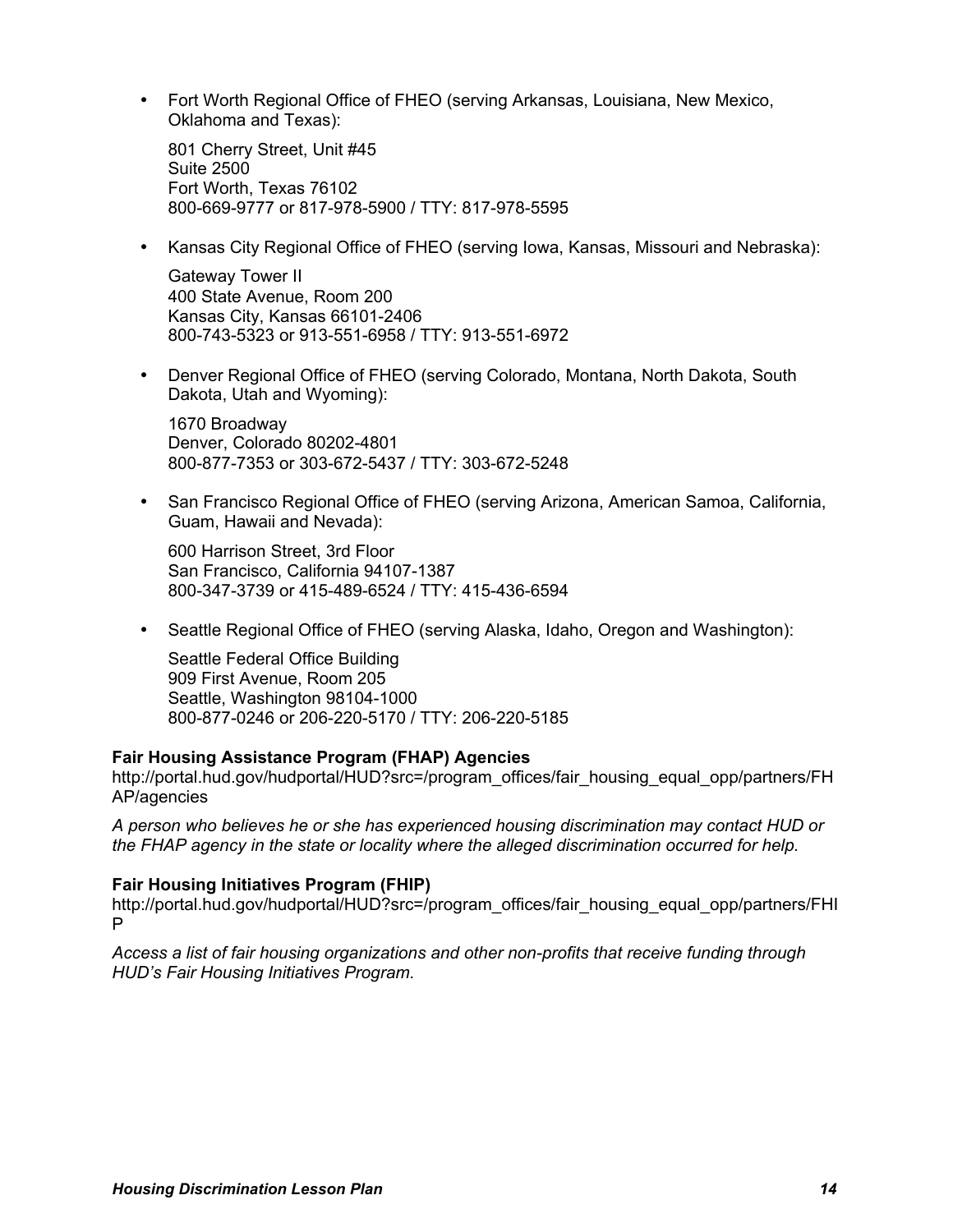• Fort Worth Regional Office of FHEO (serving Arkansas, Louisiana, New Mexico, Oklahoma and Texas):

801 Cherry Street, Unit #45 Suite 2500 Fort Worth, Texas 76102 800-669-9777 or 817-978-5900 / TTY: 817-978-5595

• Kansas City Regional Office of FHEO (serving Iowa, Kansas, Missouri and Nebraska):

Gateway Tower II 400 State Avenue, Room 200 Kansas City, Kansas 66101-2406 800-743-5323 or 913-551-6958 / TTY: 913-551-6972

• Denver Regional Office of FHEO (serving Colorado, Montana, North Dakota, South Dakota, Utah and Wyoming):

1670 Broadway Denver, Colorado 80202-4801 800-877-7353 or 303-672-5437 / TTY: 303-672-5248

• San Francisco Regional Office of FHEO (serving Arizona, American Samoa, California, Guam, Hawaii and Nevada):

600 Harrison Street, 3rd Floor San Francisco, California 94107-1387 800-347-3739 or 415-489-6524 / TTY: 415-436-6594

• Seattle Regional Office of FHEO (serving Alaska, Idaho, Oregon and Washington):

Seattle Federal Office Building 909 First Avenue, Room 205 Seattle, Washington 98104-1000 800-877-0246 or 206-220-5170 / TTY: 206-220-5185

## **Fair Housing Assistance Program (FHAP) Agencies**

http://portal.hud.gov/hudportal/HUD?src=/program\_offices/fair\_housing\_equal\_opp/partners/FH AP/agencies

*A person who believes he or she has experienced housing discrimination may contact HUD or the FHAP agency in the state or locality where the alleged discrimination occurred for help.*

## **Fair Housing Initiatives Program (FHIP)**

http://portal.hud.gov/hudportal/HUD?src=/program\_offices/fair\_housing\_equal\_opp/partners/FHI P

*Access a list of fair housing organizations and other non-profits that receive funding through HUD's Fair Housing Initiatives Program.*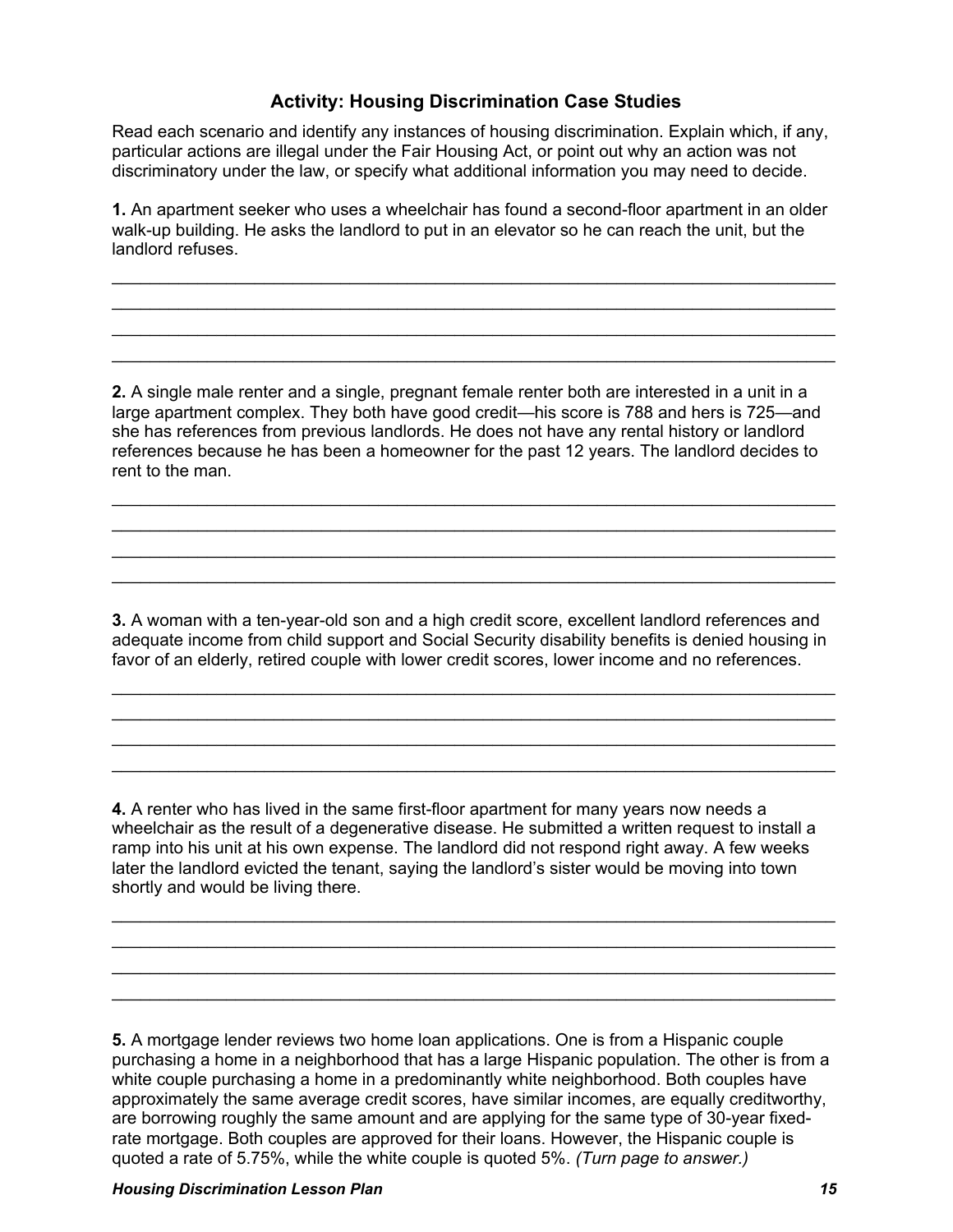# **Activity: Housing Discrimination Case Studies**

Read each scenario and identify any instances of housing discrimination. Explain which, if any, particular actions are illegal under the Fair Housing Act, or point out why an action was not discriminatory under the law, or specify what additional information you may need to decide.

**1.** An apartment seeker who uses a wheelchair has found a second-floor apartment in an older walk-up building. He asks the landlord to put in an elevator so he can reach the unit, but the landlord refuses.

\_\_\_\_\_\_\_\_\_\_\_\_\_\_\_\_\_\_\_\_\_\_\_\_\_\_\_\_\_\_\_\_\_\_\_\_\_\_\_\_\_\_\_\_\_\_\_\_\_\_\_\_\_\_\_\_\_\_\_\_\_\_\_\_\_\_\_\_\_\_\_\_\_\_\_\_ \_\_\_\_\_\_\_\_\_\_\_\_\_\_\_\_\_\_\_\_\_\_\_\_\_\_\_\_\_\_\_\_\_\_\_\_\_\_\_\_\_\_\_\_\_\_\_\_\_\_\_\_\_\_\_\_\_\_\_\_\_\_\_\_\_\_\_\_\_\_\_\_\_\_\_\_ \_\_\_\_\_\_\_\_\_\_\_\_\_\_\_\_\_\_\_\_\_\_\_\_\_\_\_\_\_\_\_\_\_\_\_\_\_\_\_\_\_\_\_\_\_\_\_\_\_\_\_\_\_\_\_\_\_\_\_\_\_\_\_\_\_\_\_\_\_\_\_\_\_\_\_\_ \_\_\_\_\_\_\_\_\_\_\_\_\_\_\_\_\_\_\_\_\_\_\_\_\_\_\_\_\_\_\_\_\_\_\_\_\_\_\_\_\_\_\_\_\_\_\_\_\_\_\_\_\_\_\_\_\_\_\_\_\_\_\_\_\_\_\_\_\_\_\_\_\_\_\_\_

**2.** A single male renter and a single, pregnant female renter both are interested in a unit in a large apartment complex. They both have good credit—his score is 788 and hers is 725—and she has references from previous landlords. He does not have any rental history or landlord references because he has been a homeowner for the past 12 years. The landlord decides to rent to the man.

\_\_\_\_\_\_\_\_\_\_\_\_\_\_\_\_\_\_\_\_\_\_\_\_\_\_\_\_\_\_\_\_\_\_\_\_\_\_\_\_\_\_\_\_\_\_\_\_\_\_\_\_\_\_\_\_\_\_\_\_\_\_\_\_\_\_\_\_\_\_\_\_\_\_\_\_ \_\_\_\_\_\_\_\_\_\_\_\_\_\_\_\_\_\_\_\_\_\_\_\_\_\_\_\_\_\_\_\_\_\_\_\_\_\_\_\_\_\_\_\_\_\_\_\_\_\_\_\_\_\_\_\_\_\_\_\_\_\_\_\_\_\_\_\_\_\_\_\_\_\_\_\_ \_\_\_\_\_\_\_\_\_\_\_\_\_\_\_\_\_\_\_\_\_\_\_\_\_\_\_\_\_\_\_\_\_\_\_\_\_\_\_\_\_\_\_\_\_\_\_\_\_\_\_\_\_\_\_\_\_\_\_\_\_\_\_\_\_\_\_\_\_\_\_\_\_\_\_\_ \_\_\_\_\_\_\_\_\_\_\_\_\_\_\_\_\_\_\_\_\_\_\_\_\_\_\_\_\_\_\_\_\_\_\_\_\_\_\_\_\_\_\_\_\_\_\_\_\_\_\_\_\_\_\_\_\_\_\_\_\_\_\_\_\_\_\_\_\_\_\_\_\_\_\_\_

**3.** A woman with a ten-year-old son and a high credit score, excellent landlord references and adequate income from child support and Social Security disability benefits is denied housing in favor of an elderly, retired couple with lower credit scores, lower income and no references.

\_\_\_\_\_\_\_\_\_\_\_\_\_\_\_\_\_\_\_\_\_\_\_\_\_\_\_\_\_\_\_\_\_\_\_\_\_\_\_\_\_\_\_\_\_\_\_\_\_\_\_\_\_\_\_\_\_\_\_\_\_\_\_\_\_\_\_\_\_\_\_\_\_\_\_\_ \_\_\_\_\_\_\_\_\_\_\_\_\_\_\_\_\_\_\_\_\_\_\_\_\_\_\_\_\_\_\_\_\_\_\_\_\_\_\_\_\_\_\_\_\_\_\_\_\_\_\_\_\_\_\_\_\_\_\_\_\_\_\_\_\_\_\_\_\_\_\_\_\_\_\_\_ \_\_\_\_\_\_\_\_\_\_\_\_\_\_\_\_\_\_\_\_\_\_\_\_\_\_\_\_\_\_\_\_\_\_\_\_\_\_\_\_\_\_\_\_\_\_\_\_\_\_\_\_\_\_\_\_\_\_\_\_\_\_\_\_\_\_\_\_\_\_\_\_\_\_\_\_ \_\_\_\_\_\_\_\_\_\_\_\_\_\_\_\_\_\_\_\_\_\_\_\_\_\_\_\_\_\_\_\_\_\_\_\_\_\_\_\_\_\_\_\_\_\_\_\_\_\_\_\_\_\_\_\_\_\_\_\_\_\_\_\_\_\_\_\_\_\_\_\_\_\_\_\_

**4.** A renter who has lived in the same first-floor apartment for many years now needs a wheelchair as the result of a degenerative disease. He submitted a written request to install a ramp into his unit at his own expense. The landlord did not respond right away. A few weeks later the landlord evicted the tenant, saying the landlord's sister would be moving into town shortly and would be living there.

\_\_\_\_\_\_\_\_\_\_\_\_\_\_\_\_\_\_\_\_\_\_\_\_\_\_\_\_\_\_\_\_\_\_\_\_\_\_\_\_\_\_\_\_\_\_\_\_\_\_\_\_\_\_\_\_\_\_\_\_\_\_\_\_\_\_\_\_\_\_\_\_\_\_\_\_ \_\_\_\_\_\_\_\_\_\_\_\_\_\_\_\_\_\_\_\_\_\_\_\_\_\_\_\_\_\_\_\_\_\_\_\_\_\_\_\_\_\_\_\_\_\_\_\_\_\_\_\_\_\_\_\_\_\_\_\_\_\_\_\_\_\_\_\_\_\_\_\_\_\_\_\_ \_\_\_\_\_\_\_\_\_\_\_\_\_\_\_\_\_\_\_\_\_\_\_\_\_\_\_\_\_\_\_\_\_\_\_\_\_\_\_\_\_\_\_\_\_\_\_\_\_\_\_\_\_\_\_\_\_\_\_\_\_\_\_\_\_\_\_\_\_\_\_\_\_\_\_\_ \_\_\_\_\_\_\_\_\_\_\_\_\_\_\_\_\_\_\_\_\_\_\_\_\_\_\_\_\_\_\_\_\_\_\_\_\_\_\_\_\_\_\_\_\_\_\_\_\_\_\_\_\_\_\_\_\_\_\_\_\_\_\_\_\_\_\_\_\_\_\_\_\_\_\_\_

**5.** A mortgage lender reviews two home loan applications. One is from a Hispanic couple purchasing a home in a neighborhood that has a large Hispanic population. The other is from a white couple purchasing a home in a predominantly white neighborhood. Both couples have approximately the same average credit scores, have similar incomes, are equally creditworthy, are borrowing roughly the same amount and are applying for the same type of 30-year fixedrate mortgage. Both couples are approved for their loans. However, the Hispanic couple is quoted a rate of 5.75%, while the white couple is quoted 5%. *(Turn page to answer.)*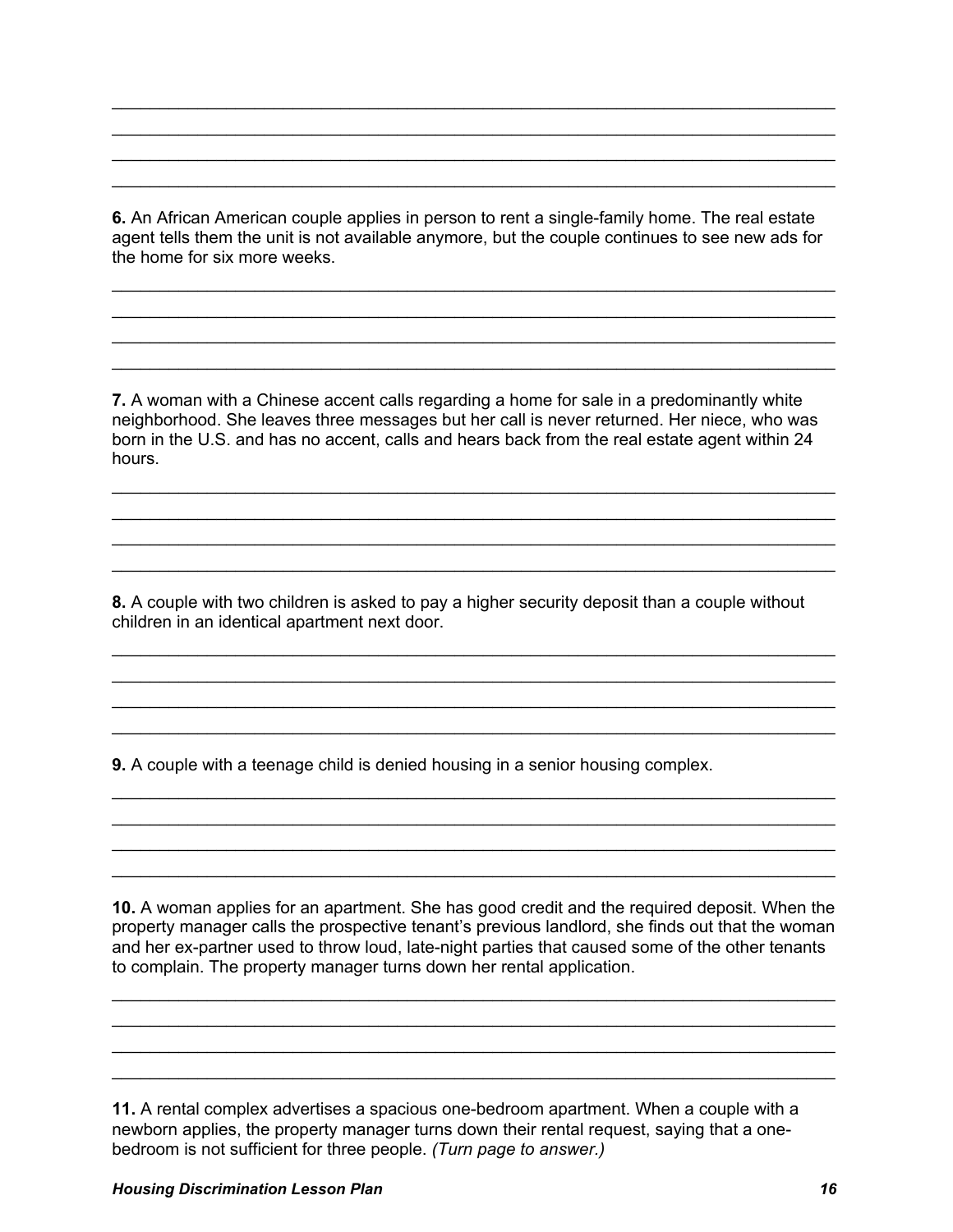**6.** An African American couple applies in person to rent a single-family home. The real estate agent tells them the unit is not available anymore, but the couple continues to see new ads for the home for six more weeks.

\_\_\_\_\_\_\_\_\_\_\_\_\_\_\_\_\_\_\_\_\_\_\_\_\_\_\_\_\_\_\_\_\_\_\_\_\_\_\_\_\_\_\_\_\_\_\_\_\_\_\_\_\_\_\_\_\_\_\_\_\_\_\_\_\_\_\_\_\_\_\_\_\_\_\_\_ \_\_\_\_\_\_\_\_\_\_\_\_\_\_\_\_\_\_\_\_\_\_\_\_\_\_\_\_\_\_\_\_\_\_\_\_\_\_\_\_\_\_\_\_\_\_\_\_\_\_\_\_\_\_\_\_\_\_\_\_\_\_\_\_\_\_\_\_\_\_\_\_\_\_\_\_ \_\_\_\_\_\_\_\_\_\_\_\_\_\_\_\_\_\_\_\_\_\_\_\_\_\_\_\_\_\_\_\_\_\_\_\_\_\_\_\_\_\_\_\_\_\_\_\_\_\_\_\_\_\_\_\_\_\_\_\_\_\_\_\_\_\_\_\_\_\_\_\_\_\_\_\_ \_\_\_\_\_\_\_\_\_\_\_\_\_\_\_\_\_\_\_\_\_\_\_\_\_\_\_\_\_\_\_\_\_\_\_\_\_\_\_\_\_\_\_\_\_\_\_\_\_\_\_\_\_\_\_\_\_\_\_\_\_\_\_\_\_\_\_\_\_\_\_\_\_\_\_\_

\_\_\_\_\_\_\_\_\_\_\_\_\_\_\_\_\_\_\_\_\_\_\_\_\_\_\_\_\_\_\_\_\_\_\_\_\_\_\_\_\_\_\_\_\_\_\_\_\_\_\_\_\_\_\_\_\_\_\_\_\_\_\_\_\_\_\_\_\_\_\_\_\_\_\_\_ \_\_\_\_\_\_\_\_\_\_\_\_\_\_\_\_\_\_\_\_\_\_\_\_\_\_\_\_\_\_\_\_\_\_\_\_\_\_\_\_\_\_\_\_\_\_\_\_\_\_\_\_\_\_\_\_\_\_\_\_\_\_\_\_\_\_\_\_\_\_\_\_\_\_\_\_ \_\_\_\_\_\_\_\_\_\_\_\_\_\_\_\_\_\_\_\_\_\_\_\_\_\_\_\_\_\_\_\_\_\_\_\_\_\_\_\_\_\_\_\_\_\_\_\_\_\_\_\_\_\_\_\_\_\_\_\_\_\_\_\_\_\_\_\_\_\_\_\_\_\_\_\_ \_\_\_\_\_\_\_\_\_\_\_\_\_\_\_\_\_\_\_\_\_\_\_\_\_\_\_\_\_\_\_\_\_\_\_\_\_\_\_\_\_\_\_\_\_\_\_\_\_\_\_\_\_\_\_\_\_\_\_\_\_\_\_\_\_\_\_\_\_\_\_\_\_\_\_\_

**7.** A woman with a Chinese accent calls regarding a home for sale in a predominantly white neighborhood. She leaves three messages but her call is never returned. Her niece, who was born in the U.S. and has no accent, calls and hears back from the real estate agent within 24 hours.

\_\_\_\_\_\_\_\_\_\_\_\_\_\_\_\_\_\_\_\_\_\_\_\_\_\_\_\_\_\_\_\_\_\_\_\_\_\_\_\_\_\_\_\_\_\_\_\_\_\_\_\_\_\_\_\_\_\_\_\_\_\_\_\_\_\_\_\_\_\_\_\_\_\_\_\_ \_\_\_\_\_\_\_\_\_\_\_\_\_\_\_\_\_\_\_\_\_\_\_\_\_\_\_\_\_\_\_\_\_\_\_\_\_\_\_\_\_\_\_\_\_\_\_\_\_\_\_\_\_\_\_\_\_\_\_\_\_\_\_\_\_\_\_\_\_\_\_\_\_\_\_\_ \_\_\_\_\_\_\_\_\_\_\_\_\_\_\_\_\_\_\_\_\_\_\_\_\_\_\_\_\_\_\_\_\_\_\_\_\_\_\_\_\_\_\_\_\_\_\_\_\_\_\_\_\_\_\_\_\_\_\_\_\_\_\_\_\_\_\_\_\_\_\_\_\_\_\_\_ \_\_\_\_\_\_\_\_\_\_\_\_\_\_\_\_\_\_\_\_\_\_\_\_\_\_\_\_\_\_\_\_\_\_\_\_\_\_\_\_\_\_\_\_\_\_\_\_\_\_\_\_\_\_\_\_\_\_\_\_\_\_\_\_\_\_\_\_\_\_\_\_\_\_\_\_

**8.** A couple with two children is asked to pay a higher security deposit than a couple without children in an identical apartment next door.

\_\_\_\_\_\_\_\_\_\_\_\_\_\_\_\_\_\_\_\_\_\_\_\_\_\_\_\_\_\_\_\_\_\_\_\_\_\_\_\_\_\_\_\_\_\_\_\_\_\_\_\_\_\_\_\_\_\_\_\_\_\_\_\_\_\_\_\_\_\_\_\_\_\_\_\_ \_\_\_\_\_\_\_\_\_\_\_\_\_\_\_\_\_\_\_\_\_\_\_\_\_\_\_\_\_\_\_\_\_\_\_\_\_\_\_\_\_\_\_\_\_\_\_\_\_\_\_\_\_\_\_\_\_\_\_\_\_\_\_\_\_\_\_\_\_\_\_\_\_\_\_\_ \_\_\_\_\_\_\_\_\_\_\_\_\_\_\_\_\_\_\_\_\_\_\_\_\_\_\_\_\_\_\_\_\_\_\_\_\_\_\_\_\_\_\_\_\_\_\_\_\_\_\_\_\_\_\_\_\_\_\_\_\_\_\_\_\_\_\_\_\_\_\_\_\_\_\_\_ \_\_\_\_\_\_\_\_\_\_\_\_\_\_\_\_\_\_\_\_\_\_\_\_\_\_\_\_\_\_\_\_\_\_\_\_\_\_\_\_\_\_\_\_\_\_\_\_\_\_\_\_\_\_\_\_\_\_\_\_\_\_\_\_\_\_\_\_\_\_\_\_\_\_\_\_

\_\_\_\_\_\_\_\_\_\_\_\_\_\_\_\_\_\_\_\_\_\_\_\_\_\_\_\_\_\_\_\_\_\_\_\_\_\_\_\_\_\_\_\_\_\_\_\_\_\_\_\_\_\_\_\_\_\_\_\_\_\_\_\_\_\_\_\_\_\_\_\_\_\_\_\_ \_\_\_\_\_\_\_\_\_\_\_\_\_\_\_\_\_\_\_\_\_\_\_\_\_\_\_\_\_\_\_\_\_\_\_\_\_\_\_\_\_\_\_\_\_\_\_\_\_\_\_\_\_\_\_\_\_\_\_\_\_\_\_\_\_\_\_\_\_\_\_\_\_\_\_\_ \_\_\_\_\_\_\_\_\_\_\_\_\_\_\_\_\_\_\_\_\_\_\_\_\_\_\_\_\_\_\_\_\_\_\_\_\_\_\_\_\_\_\_\_\_\_\_\_\_\_\_\_\_\_\_\_\_\_\_\_\_\_\_\_\_\_\_\_\_\_\_\_\_\_\_\_ \_\_\_\_\_\_\_\_\_\_\_\_\_\_\_\_\_\_\_\_\_\_\_\_\_\_\_\_\_\_\_\_\_\_\_\_\_\_\_\_\_\_\_\_\_\_\_\_\_\_\_\_\_\_\_\_\_\_\_\_\_\_\_\_\_\_\_\_\_\_\_\_\_\_\_\_

**9.** A couple with a teenage child is denied housing in a senior housing complex.

**10.** A woman applies for an apartment. She has good credit and the required deposit. When the property manager calls the prospective tenant's previous landlord, she finds out that the woman and her ex-partner used to throw loud, late-night parties that caused some of the other tenants to complain. The property manager turns down her rental application.

\_\_\_\_\_\_\_\_\_\_\_\_\_\_\_\_\_\_\_\_\_\_\_\_\_\_\_\_\_\_\_\_\_\_\_\_\_\_\_\_\_\_\_\_\_\_\_\_\_\_\_\_\_\_\_\_\_\_\_\_\_\_\_\_\_\_\_\_\_\_\_\_\_\_\_\_ \_\_\_\_\_\_\_\_\_\_\_\_\_\_\_\_\_\_\_\_\_\_\_\_\_\_\_\_\_\_\_\_\_\_\_\_\_\_\_\_\_\_\_\_\_\_\_\_\_\_\_\_\_\_\_\_\_\_\_\_\_\_\_\_\_\_\_\_\_\_\_\_\_\_\_\_ \_\_\_\_\_\_\_\_\_\_\_\_\_\_\_\_\_\_\_\_\_\_\_\_\_\_\_\_\_\_\_\_\_\_\_\_\_\_\_\_\_\_\_\_\_\_\_\_\_\_\_\_\_\_\_\_\_\_\_\_\_\_\_\_\_\_\_\_\_\_\_\_\_\_\_\_ \_\_\_\_\_\_\_\_\_\_\_\_\_\_\_\_\_\_\_\_\_\_\_\_\_\_\_\_\_\_\_\_\_\_\_\_\_\_\_\_\_\_\_\_\_\_\_\_\_\_\_\_\_\_\_\_\_\_\_\_\_\_\_\_\_\_\_\_\_\_\_\_\_\_\_\_

**11.** A rental complex advertises a spacious one-bedroom apartment. When a couple with a newborn applies, the property manager turns down their rental request, saying that a onebedroom is not sufficient for three people. *(Turn page to answer.)*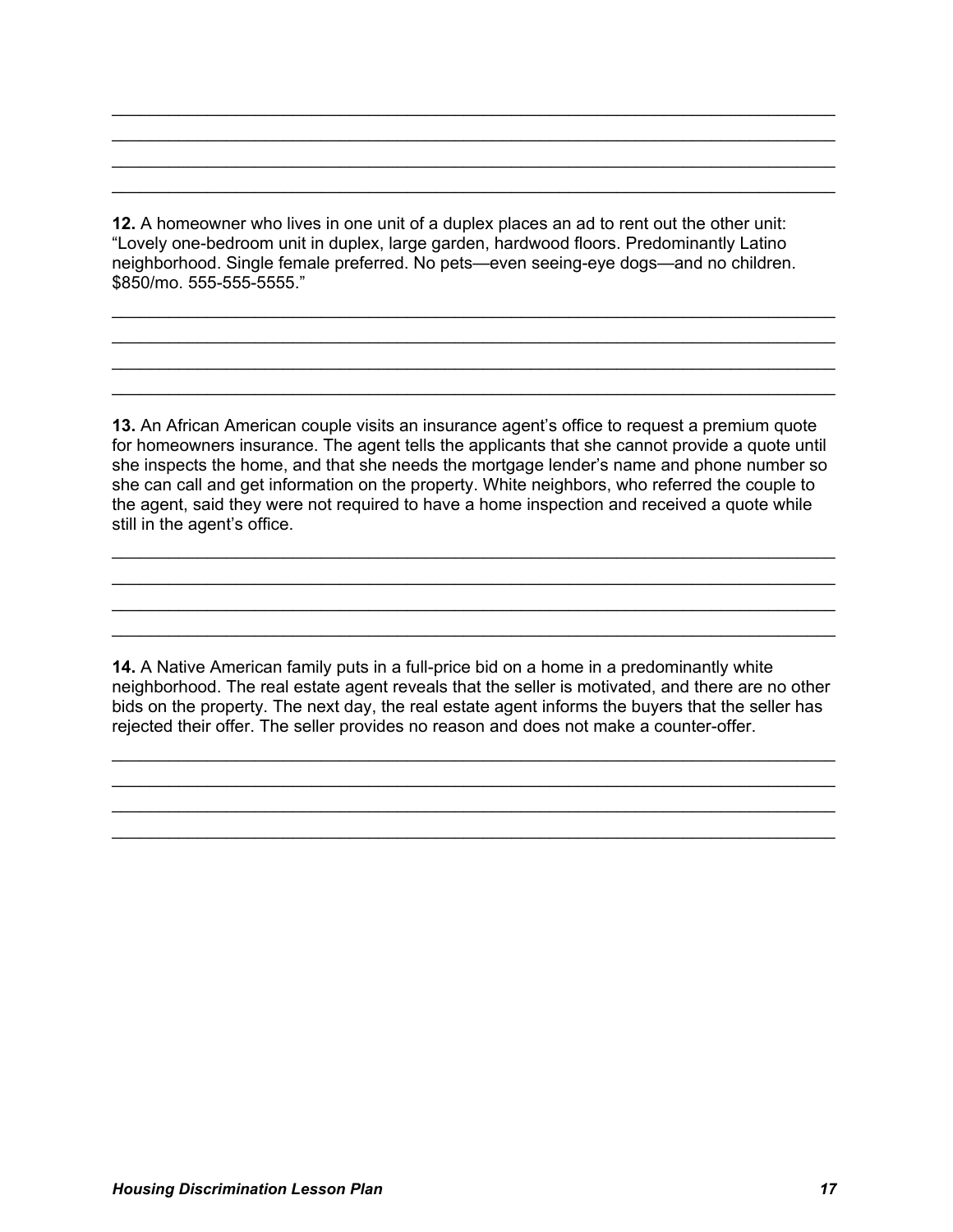**12.** A homeowner who lives in one unit of a duplex places an ad to rent out the other unit: "Lovely one-bedroom unit in duplex, large garden, hardwood floors. Predominantly Latino neighborhood. Single female preferred. No pets—even seeing-eye dogs—and no children. \$850/mo. 555-555-5555."

\_\_\_\_\_\_\_\_\_\_\_\_\_\_\_\_\_\_\_\_\_\_\_\_\_\_\_\_\_\_\_\_\_\_\_\_\_\_\_\_\_\_\_\_\_\_\_\_\_\_\_\_\_\_\_\_\_\_\_\_\_\_\_\_\_\_\_\_\_\_\_\_\_\_\_\_ \_\_\_\_\_\_\_\_\_\_\_\_\_\_\_\_\_\_\_\_\_\_\_\_\_\_\_\_\_\_\_\_\_\_\_\_\_\_\_\_\_\_\_\_\_\_\_\_\_\_\_\_\_\_\_\_\_\_\_\_\_\_\_\_\_\_\_\_\_\_\_\_\_\_\_\_ \_\_\_\_\_\_\_\_\_\_\_\_\_\_\_\_\_\_\_\_\_\_\_\_\_\_\_\_\_\_\_\_\_\_\_\_\_\_\_\_\_\_\_\_\_\_\_\_\_\_\_\_\_\_\_\_\_\_\_\_\_\_\_\_\_\_\_\_\_\_\_\_\_\_\_\_ \_\_\_\_\_\_\_\_\_\_\_\_\_\_\_\_\_\_\_\_\_\_\_\_\_\_\_\_\_\_\_\_\_\_\_\_\_\_\_\_\_\_\_\_\_\_\_\_\_\_\_\_\_\_\_\_\_\_\_\_\_\_\_\_\_\_\_\_\_\_\_\_\_\_\_\_

\_\_\_\_\_\_\_\_\_\_\_\_\_\_\_\_\_\_\_\_\_\_\_\_\_\_\_\_\_\_\_\_\_\_\_\_\_\_\_\_\_\_\_\_\_\_\_\_\_\_\_\_\_\_\_\_\_\_\_\_\_\_\_\_\_\_\_\_\_\_\_\_\_\_\_\_ \_\_\_\_\_\_\_\_\_\_\_\_\_\_\_\_\_\_\_\_\_\_\_\_\_\_\_\_\_\_\_\_\_\_\_\_\_\_\_\_\_\_\_\_\_\_\_\_\_\_\_\_\_\_\_\_\_\_\_\_\_\_\_\_\_\_\_\_\_\_\_\_\_\_\_\_ \_\_\_\_\_\_\_\_\_\_\_\_\_\_\_\_\_\_\_\_\_\_\_\_\_\_\_\_\_\_\_\_\_\_\_\_\_\_\_\_\_\_\_\_\_\_\_\_\_\_\_\_\_\_\_\_\_\_\_\_\_\_\_\_\_\_\_\_\_\_\_\_\_\_\_\_ \_\_\_\_\_\_\_\_\_\_\_\_\_\_\_\_\_\_\_\_\_\_\_\_\_\_\_\_\_\_\_\_\_\_\_\_\_\_\_\_\_\_\_\_\_\_\_\_\_\_\_\_\_\_\_\_\_\_\_\_\_\_\_\_\_\_\_\_\_\_\_\_\_\_\_\_

**13.** An African American couple visits an insurance agent's office to request a premium quote for homeowners insurance. The agent tells the applicants that she cannot provide a quote until she inspects the home, and that she needs the mortgage lender's name and phone number so she can call and get information on the property. White neighbors, who referred the couple to the agent, said they were not required to have a home inspection and received a quote while still in the agent's office.

\_\_\_\_\_\_\_\_\_\_\_\_\_\_\_\_\_\_\_\_\_\_\_\_\_\_\_\_\_\_\_\_\_\_\_\_\_\_\_\_\_\_\_\_\_\_\_\_\_\_\_\_\_\_\_\_\_\_\_\_\_\_\_\_\_\_\_\_\_\_\_\_\_\_\_\_ \_\_\_\_\_\_\_\_\_\_\_\_\_\_\_\_\_\_\_\_\_\_\_\_\_\_\_\_\_\_\_\_\_\_\_\_\_\_\_\_\_\_\_\_\_\_\_\_\_\_\_\_\_\_\_\_\_\_\_\_\_\_\_\_\_\_\_\_\_\_\_\_\_\_\_\_ \_\_\_\_\_\_\_\_\_\_\_\_\_\_\_\_\_\_\_\_\_\_\_\_\_\_\_\_\_\_\_\_\_\_\_\_\_\_\_\_\_\_\_\_\_\_\_\_\_\_\_\_\_\_\_\_\_\_\_\_\_\_\_\_\_\_\_\_\_\_\_\_\_\_\_\_ \_\_\_\_\_\_\_\_\_\_\_\_\_\_\_\_\_\_\_\_\_\_\_\_\_\_\_\_\_\_\_\_\_\_\_\_\_\_\_\_\_\_\_\_\_\_\_\_\_\_\_\_\_\_\_\_\_\_\_\_\_\_\_\_\_\_\_\_\_\_\_\_\_\_\_\_

**14.** A Native American family puts in a full-price bid on a home in a predominantly white neighborhood. The real estate agent reveals that the seller is motivated, and there are no other bids on the property. The next day, the real estate agent informs the buyers that the seller has rejected their offer. The seller provides no reason and does not make a counter-offer.

\_\_\_\_\_\_\_\_\_\_\_\_\_\_\_\_\_\_\_\_\_\_\_\_\_\_\_\_\_\_\_\_\_\_\_\_\_\_\_\_\_\_\_\_\_\_\_\_\_\_\_\_\_\_\_\_\_\_\_\_\_\_\_\_\_\_\_\_\_\_\_\_\_\_\_\_ \_\_\_\_\_\_\_\_\_\_\_\_\_\_\_\_\_\_\_\_\_\_\_\_\_\_\_\_\_\_\_\_\_\_\_\_\_\_\_\_\_\_\_\_\_\_\_\_\_\_\_\_\_\_\_\_\_\_\_\_\_\_\_\_\_\_\_\_\_\_\_\_\_\_\_\_ \_\_\_\_\_\_\_\_\_\_\_\_\_\_\_\_\_\_\_\_\_\_\_\_\_\_\_\_\_\_\_\_\_\_\_\_\_\_\_\_\_\_\_\_\_\_\_\_\_\_\_\_\_\_\_\_\_\_\_\_\_\_\_\_\_\_\_\_\_\_\_\_\_\_\_\_ \_\_\_\_\_\_\_\_\_\_\_\_\_\_\_\_\_\_\_\_\_\_\_\_\_\_\_\_\_\_\_\_\_\_\_\_\_\_\_\_\_\_\_\_\_\_\_\_\_\_\_\_\_\_\_\_\_\_\_\_\_\_\_\_\_\_\_\_\_\_\_\_\_\_\_\_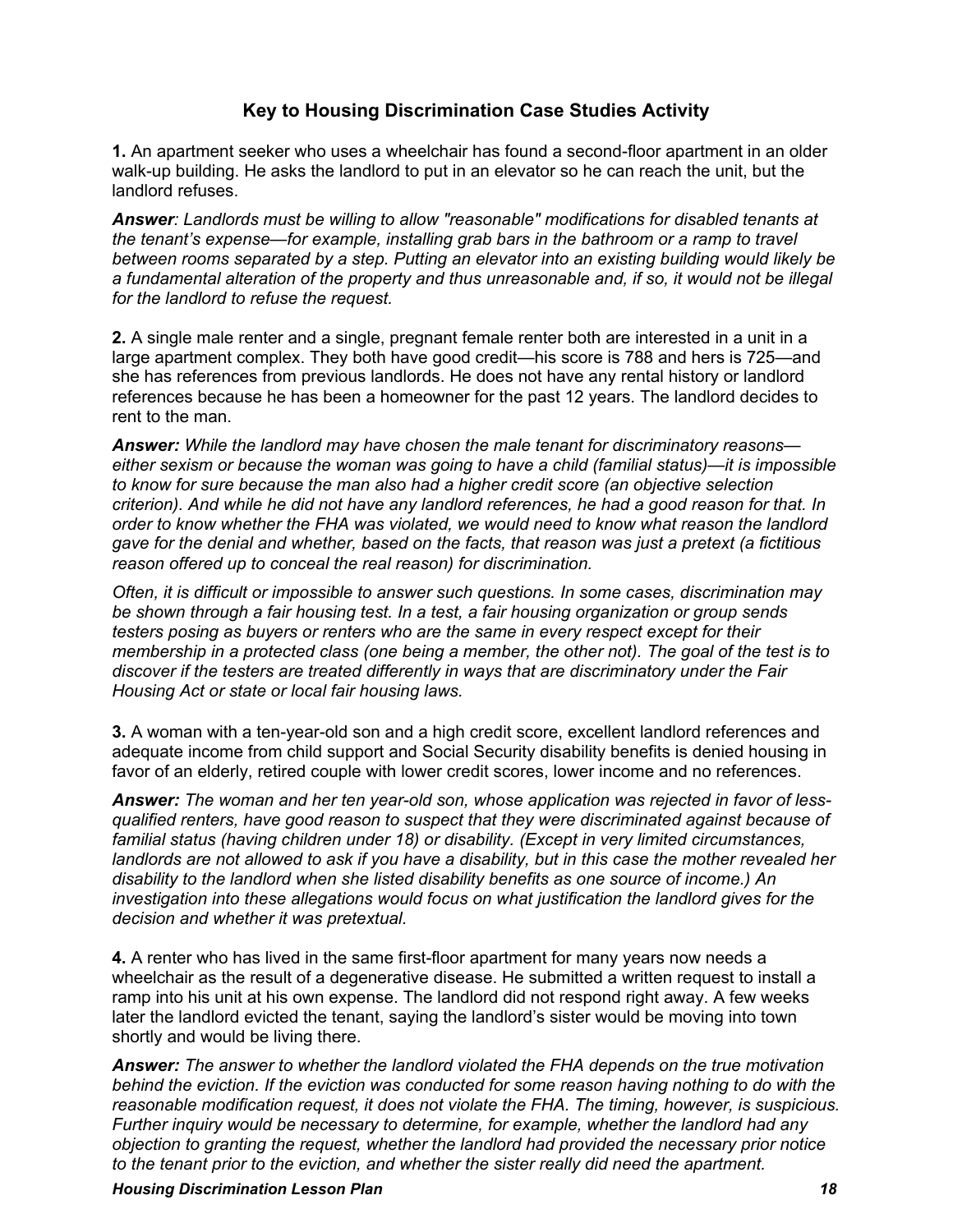# **Key to Housing Discrimination Case Studies Activity**

**1.** An apartment seeker who uses a wheelchair has found a second-floor apartment in an older walk-up building. He asks the landlord to put in an elevator so he can reach the unit, but the landlord refuses.

*Answer: Landlords must be willing to allow "reasonable" modifications for disabled tenants at the tenant's expense—for example, installing grab bars in the bathroom or a ramp to travel between rooms separated by a step. Putting an elevator into an existing building would likely be a fundamental alteration of the property and thus unreasonable and, if so, it would not be illegal for the landlord to refuse the request.*

**2.** A single male renter and a single, pregnant female renter both are interested in a unit in a large apartment complex. They both have good credit—his score is 788 and hers is 725—and she has references from previous landlords. He does not have any rental history or landlord references because he has been a homeowner for the past 12 years. The landlord decides to rent to the man.

*Answer: While the landlord may have chosen the male tenant for discriminatory reasons either sexism or because the woman was going to have a child (familial status)—it is impossible to know for sure because the man also had a higher credit score (an objective selection criterion). And while he did not have any landlord references, he had a good reason for that. In order to know whether the FHA was violated, we would need to know what reason the landlord gave for the denial and whether, based on the facts, that reason was just a pretext (a fictitious reason offered up to conceal the real reason) for discrimination.*

*Often, it is difficult or impossible to answer such questions. In some cases, discrimination may be shown through a fair housing test. In a test, a fair housing organization or group sends testers posing as buyers or renters who are the same in every respect except for their membership in a protected class (one being a member, the other not). The goal of the test is to discover if the testers are treated differently in ways that are discriminatory under the Fair Housing Act or state or local fair housing laws.*

**3.** A woman with a ten-year-old son and a high credit score, excellent landlord references and adequate income from child support and Social Security disability benefits is denied housing in favor of an elderly, retired couple with lower credit scores, lower income and no references.

*Answer: The woman and her ten year-old son, whose application was rejected in favor of lessqualified renters, have good reason to suspect that they were discriminated against because of familial status (having children under 18) or disability. (Except in very limited circumstances, landlords are not allowed to ask if you have a disability, but in this case the mother revealed her disability to the landlord when she listed disability benefits as one source of income.) An investigation into these allegations would focus on what justification the landlord gives for the decision and whether it was pretextual.*

**4.** A renter who has lived in the same first-floor apartment for many years now needs a wheelchair as the result of a degenerative disease. He submitted a written request to install a ramp into his unit at his own expense. The landlord did not respond right away. A few weeks later the landlord evicted the tenant, saying the landlord's sister would be moving into town shortly and would be living there.

*Answer: The answer to whether the landlord violated the FHA depends on the true motivation behind the eviction. If the eviction was conducted for some reason having nothing to do with the reasonable modification request, it does not violate the FHA. The timing, however, is suspicious. Further inquiry would be necessary to determine, for example, whether the landlord had any objection to granting the request, whether the landlord had provided the necessary prior notice to the tenant prior to the eviction, and whether the sister really did need the apartment.* 

*Housing Discrimination Lesson Plan 18*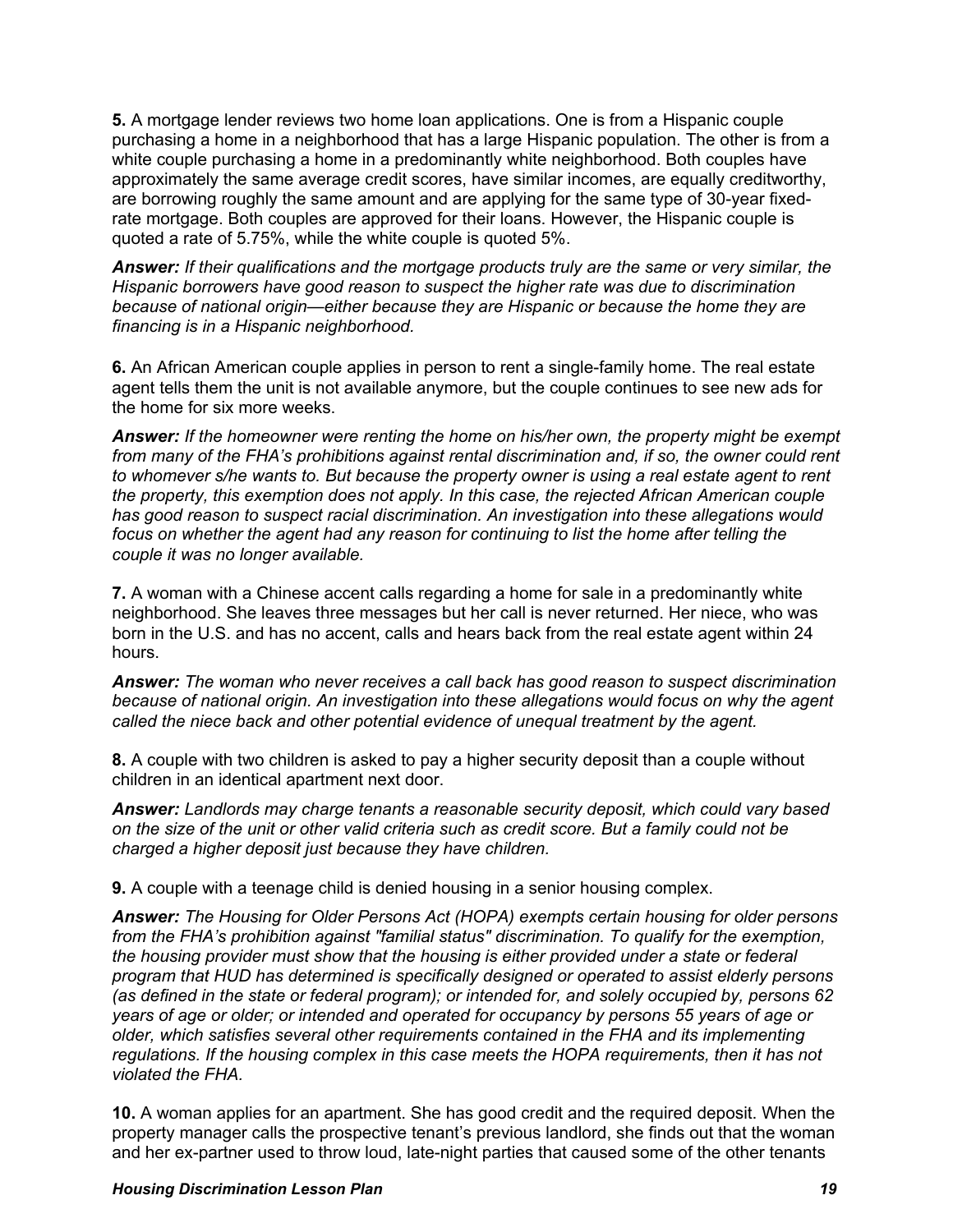**5.** A mortgage lender reviews two home loan applications. One is from a Hispanic couple purchasing a home in a neighborhood that has a large Hispanic population. The other is from a white couple purchasing a home in a predominantly white neighborhood. Both couples have approximately the same average credit scores, have similar incomes, are equally creditworthy, are borrowing roughly the same amount and are applying for the same type of 30-year fixedrate mortgage. Both couples are approved for their loans. However, the Hispanic couple is quoted a rate of 5.75%, while the white couple is quoted 5%.

*Answer: If their qualifications and the mortgage products truly are the same or very similar, the Hispanic borrowers have good reason to suspect the higher rate was due to discrimination because of national origin—either because they are Hispanic or because the home they are financing is in a Hispanic neighborhood.*

**6.** An African American couple applies in person to rent a single-family home. The real estate agent tells them the unit is not available anymore, but the couple continues to see new ads for the home for six more weeks.

*Answer: If the homeowner were renting the home on his/her own, the property might be exempt from many of the FHA's prohibitions against rental discrimination and, if so, the owner could rent to whomever s/he wants to. But because the property owner is using a real estate agent to rent the property, this exemption does not apply. In this case, the rejected African American couple has good reason to suspect racial discrimination. An investigation into these allegations would*  focus on whether the agent had any reason for continuing to list the home after telling the *couple it was no longer available.*

**7.** A woman with a Chinese accent calls regarding a home for sale in a predominantly white neighborhood. She leaves three messages but her call is never returned. Her niece, who was born in the U.S. and has no accent, calls and hears back from the real estate agent within 24 hours.

*Answer: The woman who never receives a call back has good reason to suspect discrimination because of national origin. An investigation into these allegations would focus on why the agent called the niece back and other potential evidence of unequal treatment by the agent.*

**8.** A couple with two children is asked to pay a higher security deposit than a couple without children in an identical apartment next door.

*Answer: Landlords may charge tenants a reasonable security deposit, which could vary based on the size of the unit or other valid criteria such as credit score. But a family could not be charged a higher deposit just because they have children.*

**9.** A couple with a teenage child is denied housing in a senior housing complex.

*Answer: The Housing for Older Persons Act (HOPA) exempts certain housing for older persons from the FHA's prohibition against "familial status" discrimination. To qualify for the exemption, the housing provider must show that the housing is either provided under a state or federal program that HUD has determined is specifically designed or operated to assist elderly persons (as defined in the state or federal program); or intended for, and solely occupied by, persons 62 years of age or older; or intended and operated for occupancy by persons 55 years of age or older, which satisfies several other requirements contained in the FHA and its implementing regulations. If the housing complex in this case meets the HOPA requirements, then it has not violated the FHA.*

**10.** A woman applies for an apartment. She has good credit and the required deposit. When the property manager calls the prospective tenant's previous landlord, she finds out that the woman and her ex-partner used to throw loud, late-night parties that caused some of the other tenants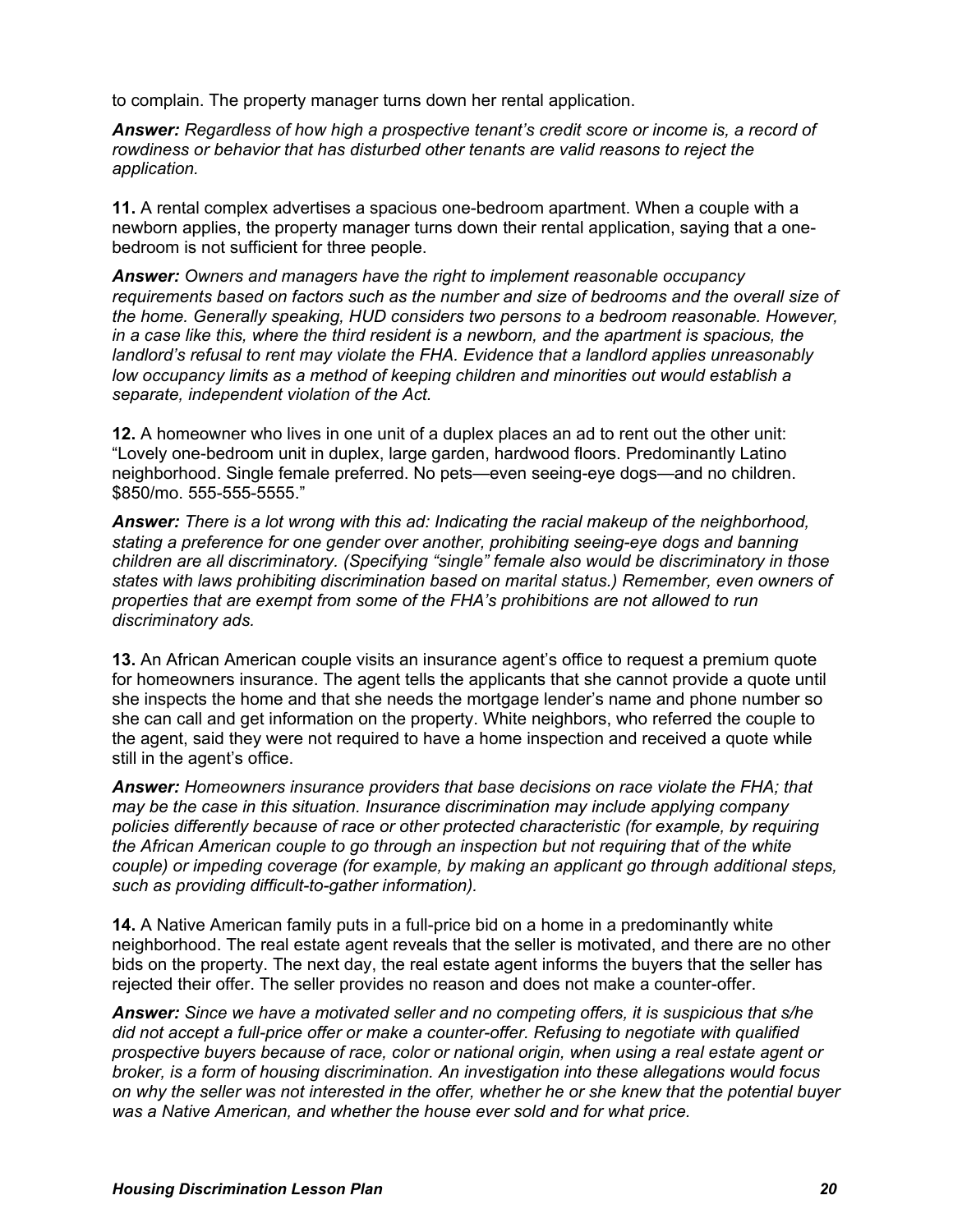to complain. The property manager turns down her rental application.

*Answer: Regardless of how high a prospective tenant's credit score or income is, a record of rowdiness or behavior that has disturbed other tenants are valid reasons to reject the application.* 

**11.** A rental complex advertises a spacious one-bedroom apartment. When a couple with a newborn applies, the property manager turns down their rental application, saying that a onebedroom is not sufficient for three people.

*Answer: Owners and managers have the right to implement reasonable occupancy requirements based on factors such as the number and size of bedrooms and the overall size of the home. Generally speaking, HUD considers two persons to a bedroom reasonable. However, in a case like this, where the third resident is a newborn, and the apartment is spacious, the landlord's refusal to rent may violate the FHA. Evidence that a landlord applies unreasonably low occupancy limits as a method of keeping children and minorities out would establish a separate, independent violation of the Act.* 

**12.** A homeowner who lives in one unit of a duplex places an ad to rent out the other unit: "Lovely one-bedroom unit in duplex, large garden, hardwood floors. Predominantly Latino neighborhood. Single female preferred. No pets—even seeing-eye dogs—and no children. \$850/mo. 555-555-5555."

*Answer: There is a lot wrong with this ad: Indicating the racial makeup of the neighborhood, stating a preference for one gender over another, prohibiting seeing-eye dogs and banning children are all discriminatory. (Specifying "single" female also would be discriminatory in those states with laws prohibiting discrimination based on marital status.) Remember, even owners of properties that are exempt from some of the FHA's prohibitions are not allowed to run discriminatory ads.* 

**13.** An African American couple visits an insurance agent's office to request a premium quote for homeowners insurance. The agent tells the applicants that she cannot provide a quote until she inspects the home and that she needs the mortgage lender's name and phone number so she can call and get information on the property. White neighbors, who referred the couple to the agent, said they were not required to have a home inspection and received a quote while still in the agent's office.

*Answer: Homeowners insurance providers that base decisions on race violate the FHA; that may be the case in this situation. Insurance discrimination may include applying company policies differently because of race or other protected characteristic (for example, by requiring the African American couple to go through an inspection but not requiring that of the white couple) or impeding coverage (for example, by making an applicant go through additional steps, such as providing difficult-to-gather information).*

**14.** A Native American family puts in a full-price bid on a home in a predominantly white neighborhood. The real estate agent reveals that the seller is motivated, and there are no other bids on the property. The next day, the real estate agent informs the buyers that the seller has rejected their offer. The seller provides no reason and does not make a counter-offer.

*Answer: Since we have a motivated seller and no competing offers, it is suspicious that s/he did not accept a full-price offer or make a counter-offer. Refusing to negotiate with qualified prospective buyers because of race, color or national origin, when using a real estate agent or broker, is a form of housing discrimination. An investigation into these allegations would focus on why the seller was not interested in the offer, whether he or she knew that the potential buyer was a Native American, and whether the house ever sold and for what price.*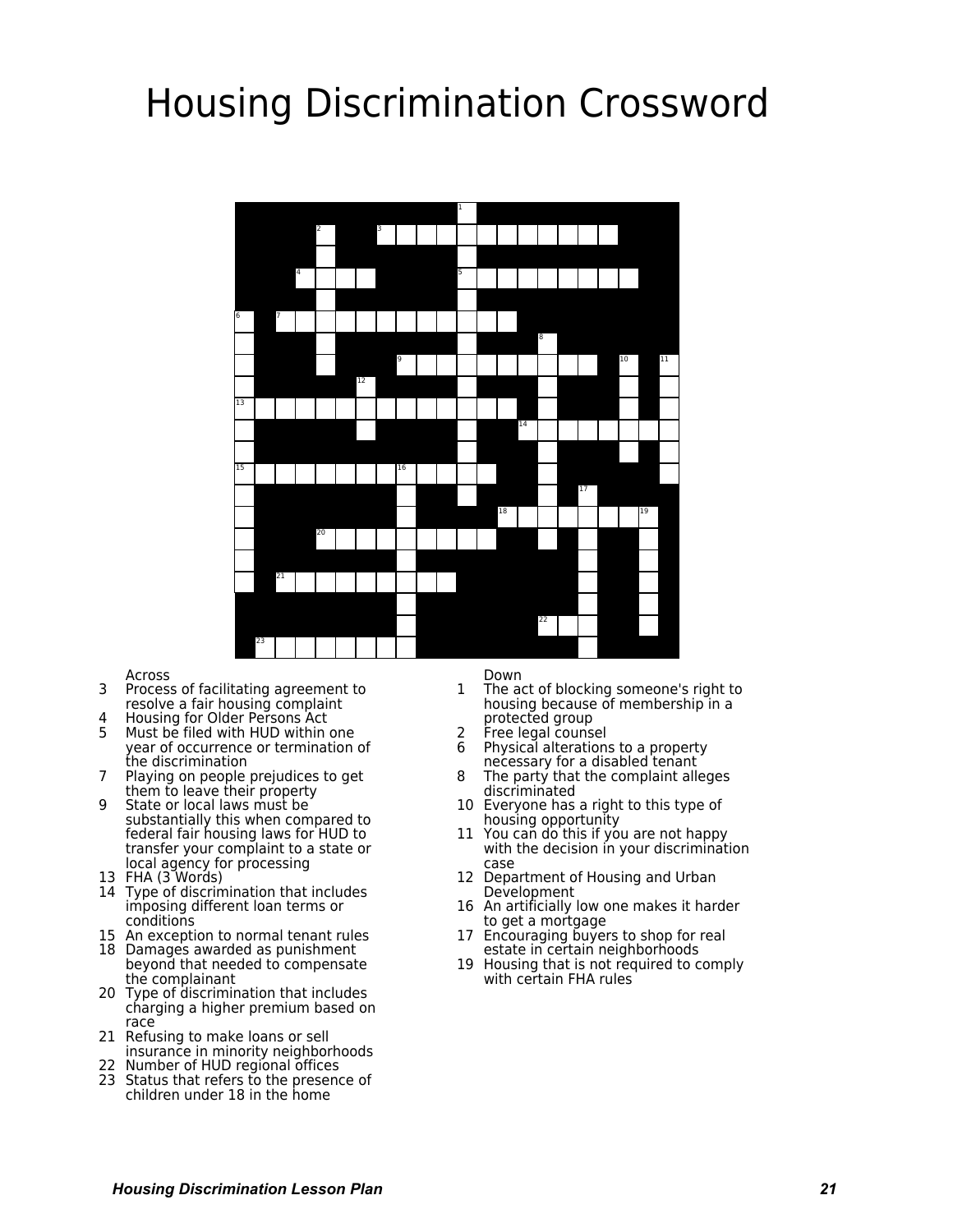# **Housing Discrimination Crossword**



Across

- $\overline{3}$ Process of facilitating agreement to resolve a fair housing complaint
- Housing for Older Persons Act 4
- $5 -$ Must be filed with HUD within one year of occurrence or termination of<br>the discrimination
- $7<sup>7</sup>$ Playing on people prejudices to get them to leave their property
- q State or local laws must be substantially this when compared to federal fair housing laws for HUD to transfer your complaint to a state or local agency for processing
- 13 FHA (3 Words)
- 14 Type of discrimination that includes imposing different loan terms or conditions
- 15 An exception to normal tenant rules
- 18 Damages awarded as punishment beyond that needed to compensate the complainant
- 20 Type of discrimination that includes charging a higher premium based on race
- 21 Refusing to make loans or sell insurance in minority neighborhoods
- 22 Number of HUD regional offices
- 23 Status that refers to the presence of children under 18 in the home

Down

- $\mathbf{1}$ The act of blocking someone's right to housing because of membership in a protected group
- Free legal counsel
- Physical alterations to a property 6 necessary for a disabled tenant
- The party that the complaint alleges  $\mathsf{R}$ discriminated
- 10 Everyone has a right to this type of housing opportunity
- 11 You can do this if you are not happy with the decision in your discrimination case
- 12 Department of Housing and Urban Development
- 16 An artificially low one makes it harder to get a mortgage
- 17 Encouraging buyers to shop for real estate in certain neighborhoods
- 19 Housing that is not required to comply with certain FHA rules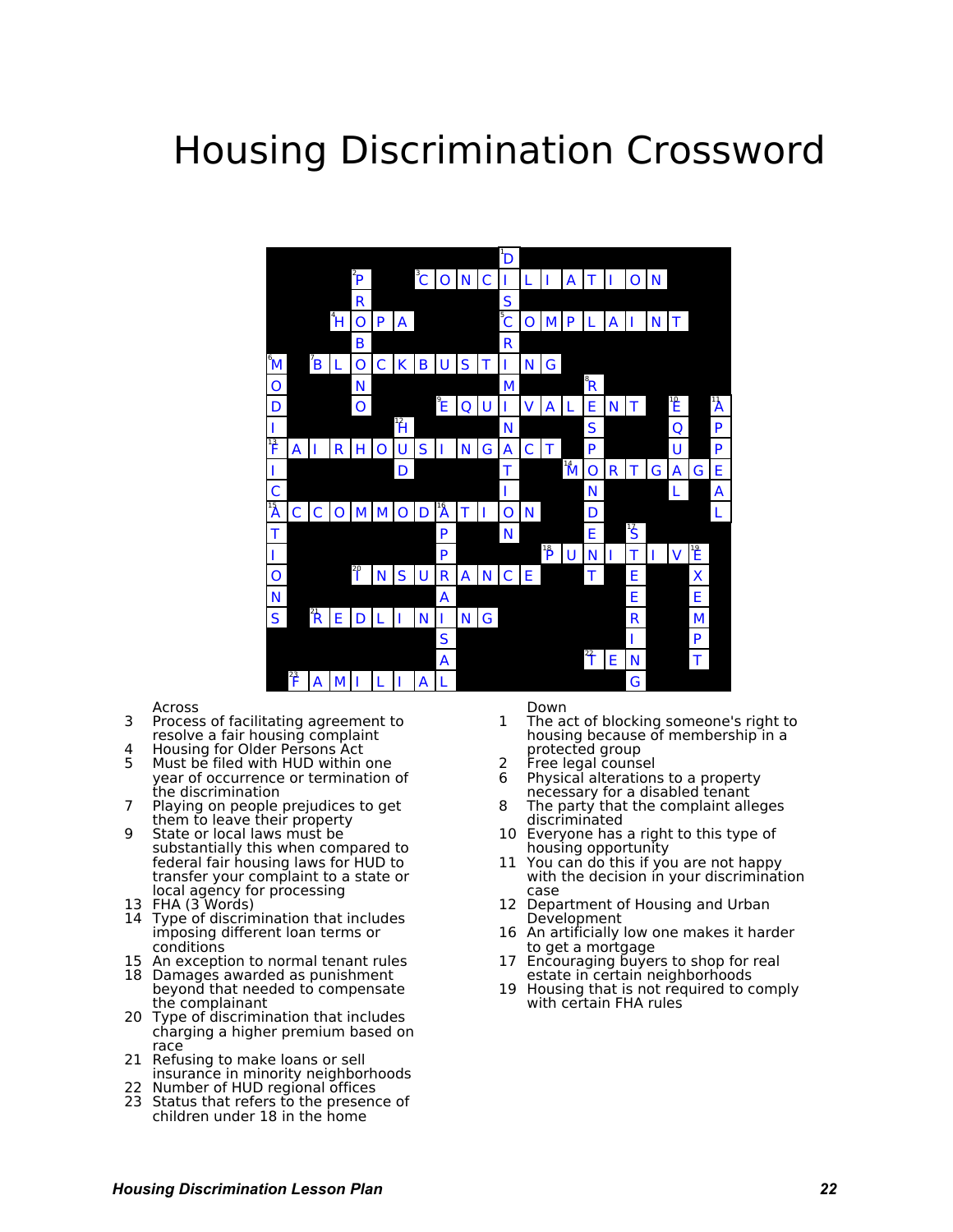# **Housing Discrimination Crossword**



#### Across

- 3 Process of facilitating agreement to resolve a fair housing complaint
- 4 Housing for Older Persons Act<br>5 Nust be filed with HUD within
- Must be filed with HUD within one year of occurrence or termination of the discrimination
- 7 Playing on people prejudices to get them to leave their property
- 9 State or local laws must be substantially this when compared to federal fair housing laws for HUD to transfer your complaint to a state or local agency for processing
- 13 FHA (3 Words)
- 14 Type of discrimination that includes imposing different loan terms or conditions
- 15 An exception to normal tenant rules
- 18 Damages awarded as punishment beyond that needed to compensate the complainant
- 20 Type of discrimination that includes charging a higher premium based on race
- 21 Refusing to make loans or sell insurance in minority neighborhoods
- 22 Number of HUD regional offices
- 23 Status that refers to the presence of children under 18 in the home

Down

- 1 The act of blocking someone's right to housing because of membership in a protected group
- 2 Free legal counsel
- 6 Physical alterations to a property necessary for a disabled tenant
- 8 The party that the complaint alleges discriminated
- 10 Everyone has a right to this type of housing opportunity.
- 11 You can do this if you are not happy with the decision in your discrimination case
- 12 Department of Housing and Urban Development
- 16 An artificially low one makes it harder to get a mortgage
- 17 Encouraging buyers to shop for real estate in certain neighborhoods
- 19 Housing that is not required to comply with certain FHA rules